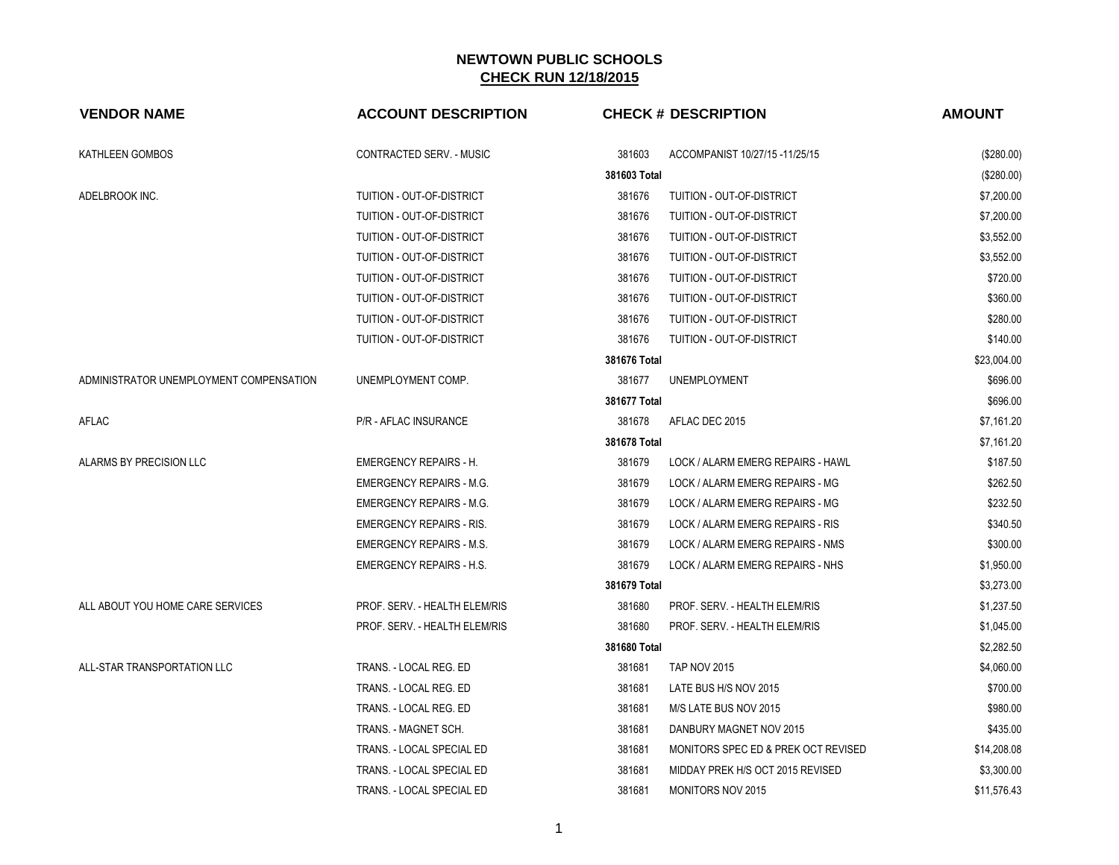| <b>VENDOR NAME</b>                      | <b>ACCOUNT DESCRIPTION</b>      |              | <b>CHECK # DESCRIPTION</b>          | <b>AMOUNT</b> |
|-----------------------------------------|---------------------------------|--------------|-------------------------------------|---------------|
| KATHLEEN GOMBOS                         | CONTRACTED SERV. - MUSIC        | 381603       | ACCOMPANIST 10/27/15 -11/25/15      | (\$280.00)    |
|                                         |                                 | 381603 Total |                                     | (\$280.00)    |
| ADELBROOK INC.                          | TUITION - OUT-OF-DISTRICT       | 381676       | TUITION - OUT-OF-DISTRICT           | \$7,200.00    |
|                                         | TUITION - OUT-OF-DISTRICT       | 381676       | TUITION - OUT-OF-DISTRICT           | \$7,200.00    |
|                                         | TUITION - OUT-OF-DISTRICT       | 381676       | TUITION - OUT-OF-DISTRICT           | \$3,552.00    |
|                                         | TUITION - OUT-OF-DISTRICT       | 381676       | TUITION - OUT-OF-DISTRICT           | \$3,552.00    |
|                                         | TUITION - OUT-OF-DISTRICT       | 381676       | TUITION - OUT-OF-DISTRICT           | \$720.00      |
|                                         | TUITION - OUT-OF-DISTRICT       | 381676       | TUITION - OUT-OF-DISTRICT           | \$360.00      |
|                                         | TUITION - OUT-OF-DISTRICT       | 381676       | TUITION - OUT-OF-DISTRICT           | \$280.00      |
|                                         | TUITION - OUT-OF-DISTRICT       | 381676       | TUITION - OUT-OF-DISTRICT           | \$140.00      |
|                                         |                                 | 381676 Total |                                     | \$23,004.00   |
| ADMINISTRATOR UNEMPLOYMENT COMPENSATION | UNEMPLOYMENT COMP.              | 381677       | <b>UNEMPLOYMENT</b>                 | \$696.00      |
|                                         |                                 | 381677 Total |                                     | \$696.00      |
| <b>AFLAC</b>                            | P/R - AFLAC INSURANCE           | 381678       | AFLAC DEC 2015                      | \$7,161.20    |
|                                         |                                 | 381678 Total |                                     | \$7,161.20    |
| ALARMS BY PRECISION LLC                 | <b>EMERGENCY REPAIRS - H.</b>   | 381679       | LOCK / ALARM EMERG REPAIRS - HAWL   | \$187.50      |
|                                         | <b>EMERGENCY REPAIRS - M.G.</b> | 381679       | LOCK / ALARM EMERG REPAIRS - MG     | \$262.50      |
|                                         | <b>EMERGENCY REPAIRS - M.G.</b> | 381679       | LOCK / ALARM EMERG REPAIRS - MG     | \$232.50      |
|                                         | <b>EMERGENCY REPAIRS - RIS.</b> | 381679       | LOCK / ALARM EMERG REPAIRS - RIS    | \$340.50      |
|                                         | <b>EMERGENCY REPAIRS - M.S.</b> | 381679       | LOCK / ALARM EMERG REPAIRS - NMS    | \$300.00      |
|                                         | <b>EMERGENCY REPAIRS - H.S.</b> | 381679       | LOCK / ALARM EMERG REPAIRS - NHS    | \$1,950.00    |
|                                         |                                 | 381679 Total |                                     | \$3,273.00    |
| ALL ABOUT YOU HOME CARE SERVICES        | PROF. SERV. - HEALTH ELEM/RIS   | 381680       | PROF. SERV. - HEALTH ELEM/RIS       | \$1,237.50    |
|                                         | PROF. SERV. - HEALTH ELEM/RIS   | 381680       | PROF. SERV. - HEALTH ELEM/RIS       | \$1,045.00    |
|                                         |                                 | 381680 Total |                                     | \$2,282.50    |
| ALL-STAR TRANSPORTATION LLC             | TRANS. - LOCAL REG. ED          | 381681       | <b>TAP NOV 2015</b>                 | \$4,060.00    |
|                                         | TRANS. - LOCAL REG. ED          | 381681       | LATE BUS H/S NOV 2015               | \$700.00      |
|                                         | TRANS. - LOCAL REG. ED          | 381681       | M/S LATE BUS NOV 2015               | \$980.00      |
|                                         | TRANS. - MAGNET SCH.            | 381681       | DANBURY MAGNET NOV 2015             | \$435.00      |
|                                         | TRANS. - LOCAL SPECIAL ED       | 381681       | MONITORS SPEC ED & PREK OCT REVISED | \$14,208.08   |
|                                         | TRANS. - LOCAL SPECIAL ED       | 381681       | MIDDAY PREK H/S OCT 2015 REVISED    | \$3,300.00    |
|                                         | TRANS. - LOCAL SPECIAL ED       | 381681       | <b>MONITORS NOV 2015</b>            | \$11,576.43   |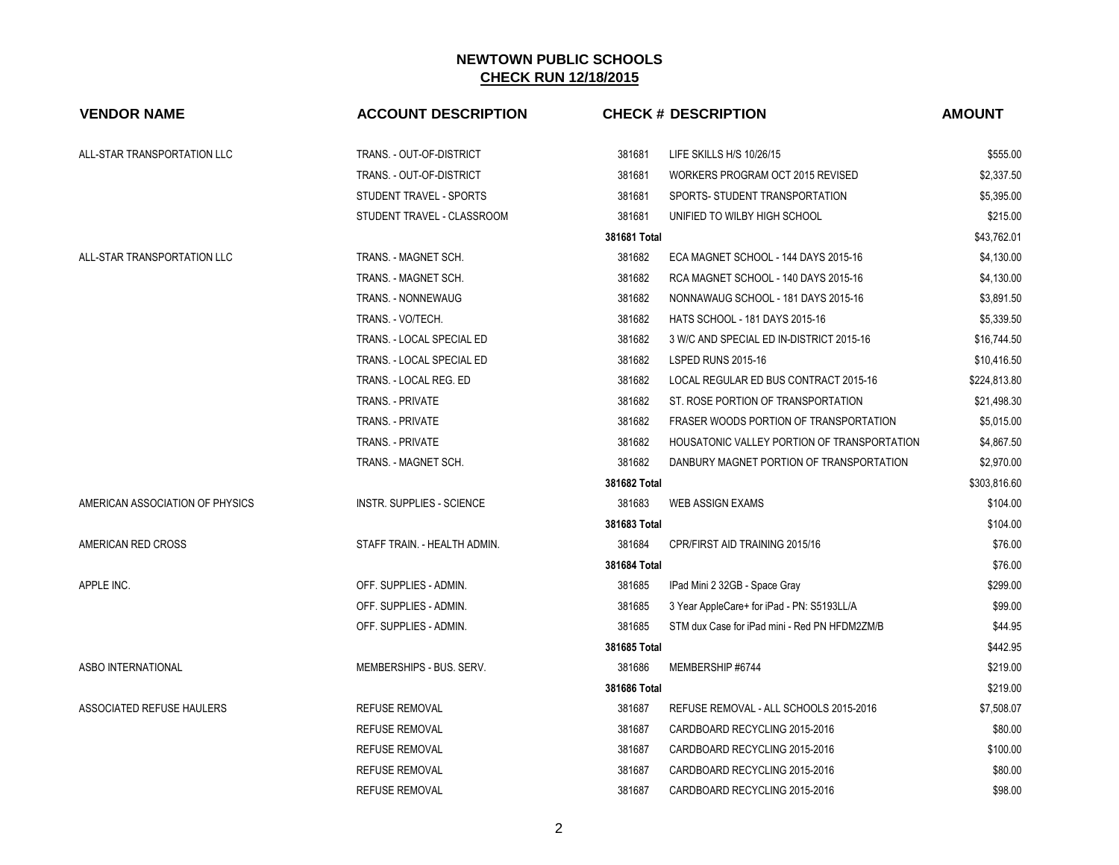| <b>VENDOR NAME</b>              | <b>ACCOUNT DESCRIPTION</b>       |              | <b>CHECK # DESCRIPTION</b>                    | <b>AMOUNT</b> |
|---------------------------------|----------------------------------|--------------|-----------------------------------------------|---------------|
| ALL-STAR TRANSPORTATION LLC     | TRANS. - OUT-OF-DISTRICT         | 381681       | LIFE SKILLS H/S 10/26/15                      | \$555.00      |
|                                 | TRANS. - OUT-OF-DISTRICT         | 381681       | WORKERS PROGRAM OCT 2015 REVISED              | \$2,337.50    |
|                                 | STUDENT TRAVEL - SPORTS          | 381681       | SPORTS- STUDENT TRANSPORTATION                | \$5,395.00    |
|                                 | STUDENT TRAVEL - CLASSROOM       | 381681       | UNIFIED TO WILBY HIGH SCHOOL                  | \$215.00      |
|                                 |                                  | 381681 Total |                                               | \$43,762.01   |
| ALL-STAR TRANSPORTATION LLC     | TRANS. - MAGNET SCH.             | 381682       | ECA MAGNET SCHOOL - 144 DAYS 2015-16          | \$4,130.00    |
|                                 | TRANS. - MAGNET SCH.             | 381682       | RCA MAGNET SCHOOL - 140 DAYS 2015-16          | \$4,130.00    |
|                                 | TRANS. - NONNEWAUG               | 381682       | NONNAWAUG SCHOOL - 181 DAYS 2015-16           | \$3,891.50    |
|                                 | TRANS. - VO/TECH.                | 381682       | HATS SCHOOL - 181 DAYS 2015-16                | \$5,339.50    |
|                                 | TRANS. - LOCAL SPECIAL ED        | 381682       | 3 W/C AND SPECIAL ED IN-DISTRICT 2015-16      | \$16,744.50   |
|                                 | TRANS. - LOCAL SPECIAL ED        | 381682       | <b>LSPED RUNS 2015-16</b>                     | \$10,416.50   |
|                                 | TRANS. - LOCAL REG. ED           | 381682       | LOCAL REGULAR ED BUS CONTRACT 2015-16         | \$224,813.80  |
|                                 | <b>TRANS. - PRIVATE</b>          | 381682       | ST. ROSE PORTION OF TRANSPORTATION            | \$21,498.30   |
|                                 | <b>TRANS. - PRIVATE</b>          | 381682       | FRASER WOODS PORTION OF TRANSPORTATION        | \$5,015.00    |
|                                 | <b>TRANS. - PRIVATE</b>          | 381682       | HOUSATONIC VALLEY PORTION OF TRANSPORTATION   | \$4,867.50    |
|                                 | TRANS. - MAGNET SCH.             | 381682       | DANBURY MAGNET PORTION OF TRANSPORTATION      | \$2,970.00    |
|                                 |                                  | 381682 Total |                                               | \$303,816.60  |
| AMERICAN ASSOCIATION OF PHYSICS | <b>INSTR. SUPPLIES - SCIENCE</b> | 381683       | <b>WEB ASSIGN EXAMS</b>                       | \$104.00      |
|                                 |                                  | 381683 Total |                                               | \$104.00      |
| AMERICAN RED CROSS              | STAFF TRAIN. - HEALTH ADMIN.     | 381684       | CPR/FIRST AID TRAINING 2015/16                | \$76.00       |
|                                 |                                  | 381684 Total |                                               | \$76.00       |
| APPLE INC.                      | OFF. SUPPLIES - ADMIN.           | 381685       | IPad Mini 2 32GB - Space Gray                 | \$299.00      |
|                                 | OFF. SUPPLIES - ADMIN.           | 381685       | 3 Year AppleCare+ for iPad - PN: S5193LL/A    | \$99.00       |
|                                 | OFF. SUPPLIES - ADMIN.           | 381685       | STM dux Case for iPad mini - Red PN HFDM2ZM/B | \$44.95       |
|                                 |                                  | 381685 Total |                                               | \$442.95      |
| ASBO INTERNATIONAL              | MEMBERSHIPS - BUS. SERV.         | 381686       | MEMBERSHIP #6744                              | \$219.00      |
|                                 |                                  | 381686 Total |                                               | \$219.00      |
| ASSOCIATED REFUSE HAULERS       | <b>REFUSE REMOVAL</b>            | 381687       | REFUSE REMOVAL - ALL SCHOOLS 2015-2016        | \$7,508.07    |
|                                 | <b>REFUSE REMOVAL</b>            | 381687       | CARDBOARD RECYCLING 2015-2016                 | \$80.00       |
|                                 | <b>REFUSE REMOVAL</b>            | 381687       | CARDBOARD RECYCLING 2015-2016                 | \$100.00      |
|                                 | <b>REFUSE REMOVAL</b>            | 381687       | CARDBOARD RECYCLING 2015-2016                 | \$80.00       |
|                                 | <b>REFUSE REMOVAL</b>            | 381687       | CARDBOARD RECYCLING 2015-2016                 | \$98.00       |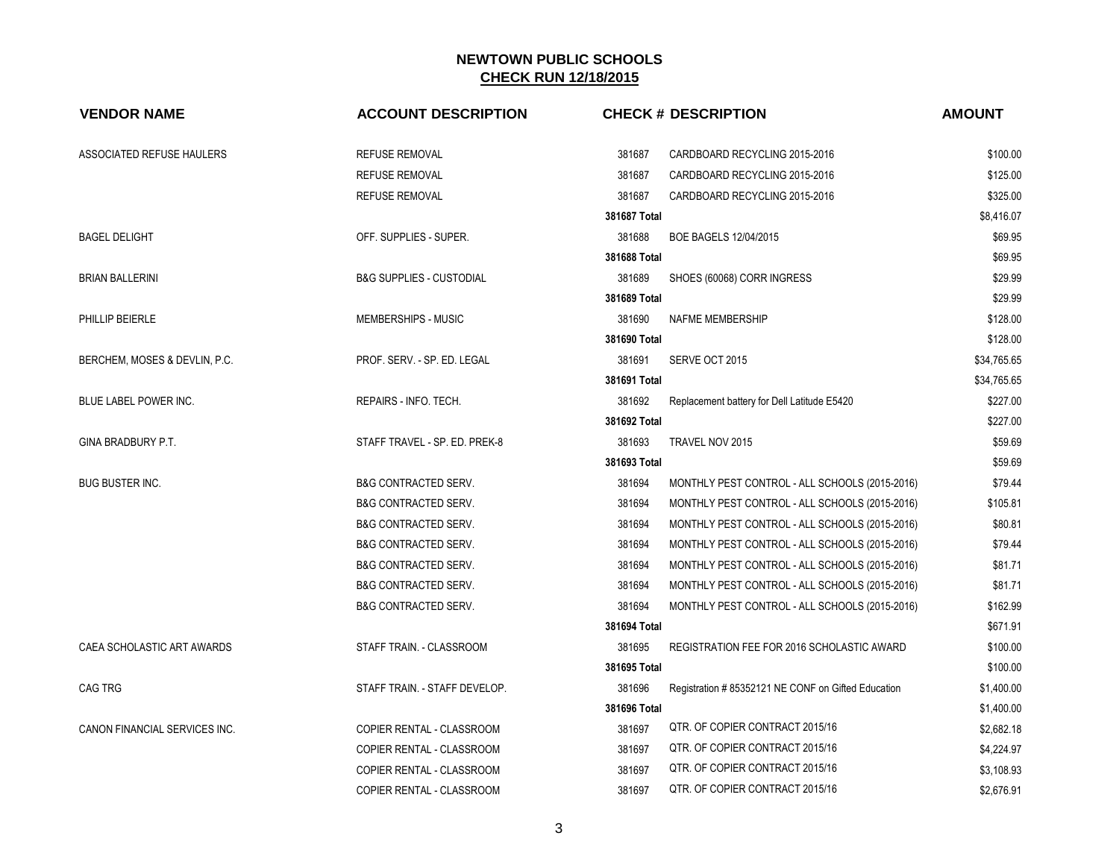| <b>VENDOR NAME</b>            | <b>ACCOUNT DESCRIPTION</b>          | <b>CHECK # DESCRIPTION</b>                                   | <b>AMOUNT</b> |
|-------------------------------|-------------------------------------|--------------------------------------------------------------|---------------|
| ASSOCIATED REFUSE HAULERS     | REFUSE REMOVAL                      | 381687<br>CARDBOARD RECYCLING 2015-2016                      | \$100.00      |
|                               | <b>REFUSE REMOVAL</b>               | 381687<br>CARDBOARD RECYCLING 2015-2016                      | \$125.00      |
|                               | <b>REFUSE REMOVAL</b>               | 381687<br>CARDBOARD RECYCLING 2015-2016                      | \$325.00      |
|                               |                                     | 381687 Total                                                 | \$8,416.07    |
| <b>BAGEL DELIGHT</b>          | OFF. SUPPLIES - SUPER.              | 381688<br>BOE BAGELS 12/04/2015                              | \$69.95       |
|                               |                                     | 381688 Total                                                 | \$69.95       |
| <b>BRIAN BALLERINI</b>        | <b>B&amp;G SUPPLIES - CUSTODIAL</b> | 381689<br>SHOES (60068) CORR INGRESS                         | \$29.99       |
|                               |                                     | 381689 Total                                                 | \$29.99       |
| PHILLIP BEIERLE               | MEMBERSHIPS - MUSIC                 | 381690<br>NAFME MEMBERSHIP                                   | \$128.00      |
|                               |                                     | 381690 Total                                                 | \$128.00      |
| BERCHEM, MOSES & DEVLIN, P.C. | PROF. SERV. - SP. ED. LEGAL         | 381691<br>SERVE OCT 2015                                     | \$34,765.65   |
|                               |                                     | 381691 Total                                                 | \$34,765.65   |
| BLUE LABEL POWER INC.         | REPAIRS - INFO. TECH.               | 381692<br>Replacement battery for Dell Latitude E5420        | \$227.00      |
|                               |                                     | 381692 Total                                                 | \$227.00      |
| GINA BRADBURY P.T.            | STAFF TRAVEL - SP. ED. PREK-8       | 381693<br>TRAVEL NOV 2015                                    | \$59.69       |
|                               |                                     | 381693 Total                                                 | \$59.69       |
| <b>BUG BUSTER INC.</b>        | <b>B&amp;G CONTRACTED SERV.</b>     | 381694<br>MONTHLY PEST CONTROL - ALL SCHOOLS (2015-2016)     | \$79.44       |
|                               | <b>B&amp;G CONTRACTED SERV.</b>     | 381694<br>MONTHLY PEST CONTROL - ALL SCHOOLS (2015-2016)     | \$105.81      |
|                               | <b>B&amp;G CONTRACTED SERV.</b>     | 381694<br>MONTHLY PEST CONTROL - ALL SCHOOLS (2015-2016)     | \$80.81       |
|                               | <b>B&amp;G CONTRACTED SERV.</b>     | 381694<br>MONTHLY PEST CONTROL - ALL SCHOOLS (2015-2016)     | \$79.44       |
|                               | <b>B&amp;G CONTRACTED SERV.</b>     | 381694<br>MONTHLY PEST CONTROL - ALL SCHOOLS (2015-2016)     | \$81.71       |
|                               | <b>B&amp;G CONTRACTED SERV.</b>     | 381694<br>MONTHLY PEST CONTROL - ALL SCHOOLS (2015-2016)     | \$81.71       |
|                               | <b>B&amp;G CONTRACTED SERV.</b>     | 381694<br>MONTHLY PEST CONTROL - ALL SCHOOLS (2015-2016)     | \$162.99      |
|                               |                                     | 381694 Total                                                 | \$671.91      |
| CAEA SCHOLASTIC ART AWARDS    | STAFF TRAIN. - CLASSROOM            | 381695<br>REGISTRATION FEE FOR 2016 SCHOLASTIC AWARD         | \$100.00      |
|                               |                                     | 381695 Total                                                 | \$100.00      |
| <b>CAG TRG</b>                | STAFF TRAIN. - STAFF DEVELOP.       | 381696<br>Registration #85352121 NE CONF on Gifted Education | \$1,400.00    |
|                               |                                     | 381696 Total                                                 | \$1,400.00    |
| CANON FINANCIAL SERVICES INC. | COPIER RENTAL - CLASSROOM           | QTR. OF COPIER CONTRACT 2015/16<br>381697                    | \$2,682.18    |
|                               | COPIER RENTAL - CLASSROOM           | QTR. OF COPIER CONTRACT 2015/16<br>381697                    | \$4,224.97    |
|                               | COPIER RENTAL - CLASSROOM           | QTR. OF COPIER CONTRACT 2015/16<br>381697                    | \$3,108.93    |
|                               | COPIER RENTAL - CLASSROOM           | QTR. OF COPIER CONTRACT 2015/16<br>381697                    | \$2,676.91    |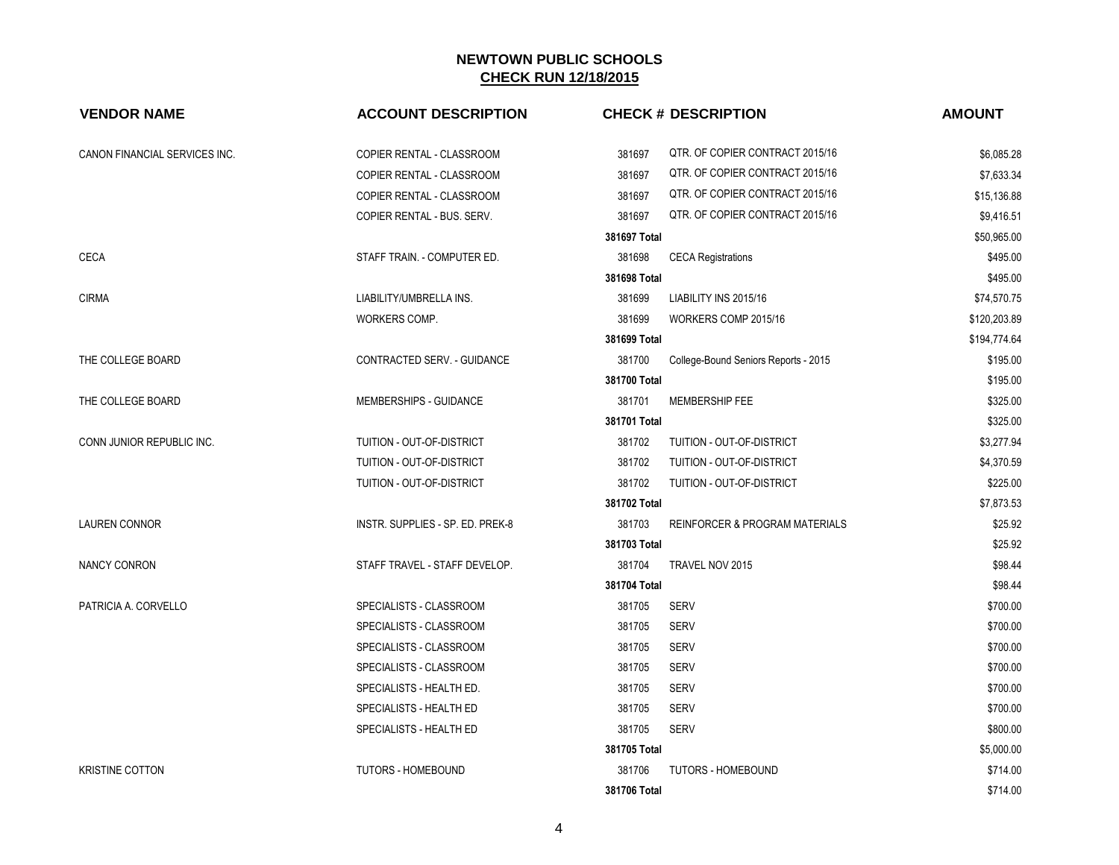| <b>VENDOR NAME</b>            | <b>ACCOUNT DESCRIPTION</b>       |              | <b>CHECK # DESCRIPTION</b>                | <b>AMOUNT</b> |
|-------------------------------|----------------------------------|--------------|-------------------------------------------|---------------|
| CANON FINANCIAL SERVICES INC. | COPIER RENTAL - CLASSROOM        | 381697       | QTR. OF COPIER CONTRACT 2015/16           | \$6,085.28    |
|                               | COPIER RENTAL - CLASSROOM        | 381697       | QTR. OF COPIER CONTRACT 2015/16           | \$7,633.34    |
|                               | COPIER RENTAL - CLASSROOM        | 381697       | QTR. OF COPIER CONTRACT 2015/16           | \$15,136.88   |
|                               | COPIER RENTAL - BUS. SERV.       | 381697       | QTR. OF COPIER CONTRACT 2015/16           | \$9,416.51    |
|                               |                                  | 381697 Total |                                           | \$50,965.00   |
| <b>CECA</b>                   | STAFF TRAIN. - COMPUTER ED.      | 381698       | <b>CECA Registrations</b>                 | \$495.00      |
|                               |                                  | 381698 Total |                                           | \$495.00      |
| <b>CIRMA</b>                  | LIABILITY/UMBRELLA INS.          | 381699       | LIABILITY INS 2015/16                     | \$74,570.75   |
|                               | WORKERS COMP.                    | 381699       | WORKERS COMP 2015/16                      | \$120,203.89  |
|                               |                                  | 381699 Total |                                           | \$194,774.64  |
| THE COLLEGE BOARD             | CONTRACTED SERV. - GUIDANCE      | 381700       | College-Bound Seniors Reports - 2015      | \$195.00      |
|                               |                                  | 381700 Total |                                           | \$195.00      |
| THE COLLEGE BOARD             | MEMBERSHIPS - GUIDANCE           | 381701       | MEMBERSHIP FEE                            | \$325.00      |
|                               |                                  | 381701 Total |                                           | \$325.00      |
| CONN JUNIOR REPUBLIC INC.     | TUITION - OUT-OF-DISTRICT        | 381702       | TUITION - OUT-OF-DISTRICT                 | \$3,277.94    |
|                               | TUITION - OUT-OF-DISTRICT        | 381702       | TUITION - OUT-OF-DISTRICT                 | \$4,370.59    |
|                               | TUITION - OUT-OF-DISTRICT        | 381702       | TUITION - OUT-OF-DISTRICT                 | \$225.00      |
|                               |                                  | 381702 Total |                                           | \$7,873.53    |
| <b>LAUREN CONNOR</b>          | INSTR. SUPPLIES - SP. ED. PREK-8 | 381703       | <b>REINFORCER &amp; PROGRAM MATERIALS</b> | \$25.92       |
|                               |                                  | 381703 Total |                                           | \$25.92       |
| NANCY CONRON                  | STAFF TRAVEL - STAFF DEVELOP.    | 381704       | TRAVEL NOV 2015                           | \$98.44       |
|                               |                                  | 381704 Total |                                           | \$98.44       |
| PATRICIA A. CORVELLO          | SPECIALISTS - CLASSROOM          | 381705       | <b>SERV</b>                               | \$700.00      |
|                               | SPECIALISTS - CLASSROOM          | 381705       | <b>SERV</b>                               | \$700.00      |
|                               | SPECIALISTS - CLASSROOM          | 381705       | <b>SERV</b>                               | \$700.00      |
|                               | SPECIALISTS - CLASSROOM          | 381705       | <b>SERV</b>                               | \$700.00      |
|                               | SPECIALISTS - HEALTH ED.         | 381705       | <b>SERV</b>                               | \$700.00      |
|                               | SPECIALISTS - HEALTH ED          | 381705       | <b>SERV</b>                               | \$700.00      |
|                               | SPECIALISTS - HEALTH ED          | 381705       | <b>SERV</b>                               | \$800.00      |
|                               |                                  | 381705 Total |                                           | \$5,000.00    |
| <b>KRISTINE COTTON</b>        | <b>TUTORS - HOMEBOUND</b>        | 381706       | <b>TUTORS - HOMEBOUND</b>                 | \$714.00      |
|                               |                                  | 381706 Total |                                           | \$714.00      |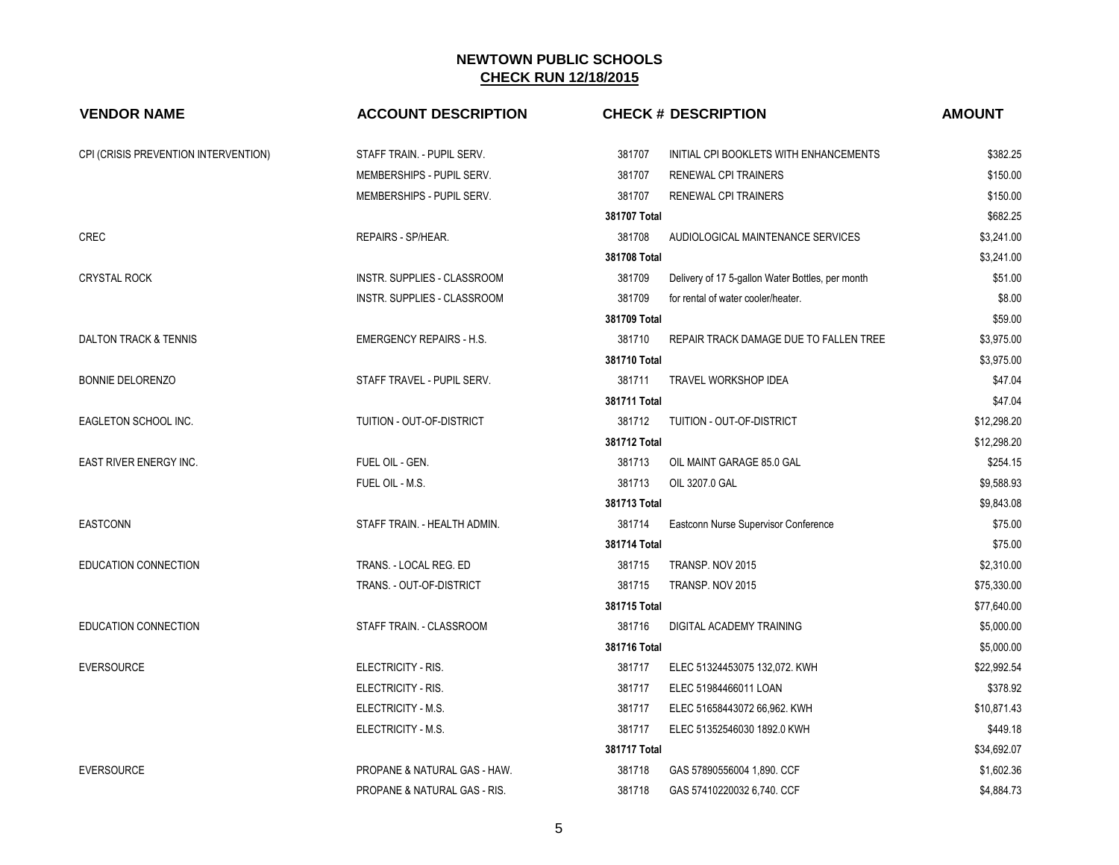| <b>VENDOR NAME</b>                   | <b>ACCOUNT DESCRIPTION</b>              | <b>CHECK # DESCRIPTION</b>                                 | <b>AMOUNT</b> |
|--------------------------------------|-----------------------------------------|------------------------------------------------------------|---------------|
| CPI (CRISIS PREVENTION INTERVENTION) | STAFF TRAIN. - PUPIL SERV.              | 381707<br>INITIAL CPI BOOKLETS WITH ENHANCEMENTS           | \$382.25      |
|                                      | MEMBERSHIPS - PUPIL SERV.               | 381707<br><b>RENEWAL CPI TRAINERS</b>                      | \$150.00      |
|                                      | MEMBERSHIPS - PUPIL SERV.               | 381707<br><b>RENEWAL CPI TRAINERS</b>                      | \$150.00      |
|                                      |                                         | 381707 Total                                               | \$682.25      |
| <b>CREC</b>                          | REPAIRS - SP/HEAR.                      | 381708<br>AUDIOLOGICAL MAINTENANCE SERVICES                | \$3,241.00    |
|                                      |                                         | 381708 Total                                               | \$3,241.00    |
| <b>CRYSTAL ROCK</b>                  | INSTR. SUPPLIES - CLASSROOM             | 381709<br>Delivery of 17 5-gallon Water Bottles, per month | \$51.00       |
|                                      | INSTR. SUPPLIES - CLASSROOM             | 381709<br>for rental of water cooler/heater.               | \$8.00        |
|                                      |                                         | 381709 Total                                               | \$59.00       |
| DALTON TRACK & TENNIS                | <b>EMERGENCY REPAIRS - H.S.</b>         | 381710<br>REPAIR TRACK DAMAGE DUE TO FALLEN TREE           | \$3,975.00    |
|                                      |                                         | 381710 Total                                               | \$3,975.00    |
| <b>BONNIE DELORENZO</b>              | STAFF TRAVEL - PUPIL SERV.              | 381711<br>TRAVEL WORKSHOP IDEA                             | \$47.04       |
|                                      |                                         | 381711 Total                                               | \$47.04       |
| EAGLETON SCHOOL INC.                 | TUITION - OUT-OF-DISTRICT               | 381712<br>TUITION - OUT-OF-DISTRICT                        | \$12,298.20   |
|                                      |                                         | 381712 Total                                               | \$12,298.20   |
| EAST RIVER ENERGY INC.               | FUEL OIL - GEN.                         | 381713<br>OIL MAINT GARAGE 85.0 GAL                        | \$254.15      |
|                                      | FUEL OIL - M.S.                         | 381713<br>OIL 3207.0 GAL                                   | \$9.588.93    |
|                                      |                                         | 381713 Total                                               | \$9,843.08    |
| <b>EASTCONN</b>                      | STAFF TRAIN. - HEALTH ADMIN.            | 381714<br>Eastconn Nurse Supervisor Conference             | \$75.00       |
|                                      |                                         | 381714 Total                                               | \$75.00       |
| EDUCATION CONNECTION                 | TRANS. - LOCAL REG. ED                  | 381715<br>TRANSP. NOV 2015                                 | \$2,310.00    |
|                                      | TRANS. - OUT-OF-DISTRICT                | 381715<br>TRANSP. NOV 2015                                 | \$75,330.00   |
|                                      |                                         | 381715 Total                                               | \$77,640.00   |
| EDUCATION CONNECTION                 | STAFF TRAIN. - CLASSROOM                | 381716<br>DIGITAL ACADEMY TRAINING                         | \$5,000.00    |
|                                      |                                         | 381716 Total                                               | \$5,000.00    |
| <b>EVERSOURCE</b>                    | ELECTRICITY - RIS.                      | 381717<br>ELEC 51324453075 132,072. KWH                    | \$22,992.54   |
|                                      | ELECTRICITY - RIS.                      | 381717<br>ELEC 51984466011 LOAN                            | \$378.92      |
|                                      | ELECTRICITY - M.S.                      | 381717<br>ELEC 51658443072 66,962. KWH                     | \$10,871.43   |
|                                      | ELECTRICITY - M.S.                      | 381717<br>ELEC 51352546030 1892.0 KWH                      | \$449.18      |
|                                      |                                         | 381717 Total                                               | \$34,692.07   |
| <b>EVERSOURCE</b>                    | PROPANE & NATURAL GAS - HAW.            | 381718<br>GAS 57890556004 1,890. CCF                       | \$1,602.36    |
|                                      | <b>PROPANE &amp; NATURAL GAS - RIS.</b> | 381718<br>GAS 57410220032 6,740. CCF                       | \$4,884.73    |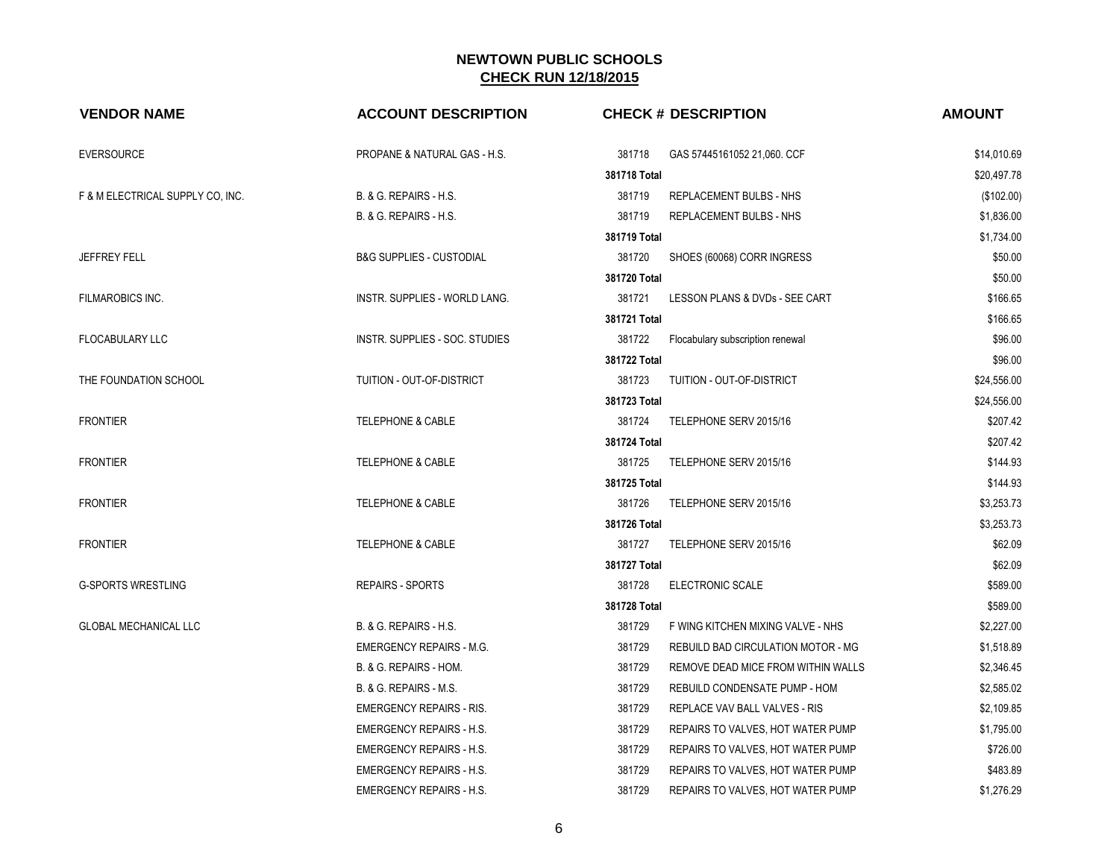| <b>VENDOR NAME</b>               | <b>ACCOUNT DESCRIPTION</b>              | <b>CHECK # DESCRIPTION</b>                   | <b>AMOUNT</b> |
|----------------------------------|-----------------------------------------|----------------------------------------------|---------------|
| <b>EVERSOURCE</b>                | <b>PROPANE &amp; NATURAL GAS - H.S.</b> | 381718<br>GAS 57445161052 21,060. CCF        | \$14,010.69   |
|                                  |                                         | 381718 Total                                 | \$20,497.78   |
| F & M ELECTRICAL SUPPLY CO, INC. | B. & G. REPAIRS - H.S.                  | 381719<br>REPLACEMENT BULBS - NHS            | (\$102.00)    |
|                                  | B. & G. REPAIRS - H.S.                  | 381719<br>REPLACEMENT BULBS - NHS            | \$1,836.00    |
|                                  |                                         | 381719 Total                                 | \$1,734.00    |
| <b>JEFFREY FELL</b>              | <b>B&amp;G SUPPLIES - CUSTODIAL</b>     | 381720<br>SHOES (60068) CORR INGRESS         | \$50.00       |
|                                  |                                         | 381720 Total                                 | \$50.00       |
| <b>FILMAROBICS INC.</b>          | <b>INSTR. SUPPLIES - WORLD LANG.</b>    | 381721<br>LESSON PLANS & DVDs - SEE CART     | \$166.65      |
|                                  |                                         | 381721 Total                                 | \$166.65      |
| <b>FLOCABULARY LLC</b>           | INSTR. SUPPLIES - SOC. STUDIES          | 381722<br>Flocabulary subscription renewal   | \$96.00       |
|                                  |                                         | 381722 Total                                 | \$96.00       |
| THE FOUNDATION SCHOOL            | TUITION - OUT-OF-DISTRICT               | 381723<br>TUITION - OUT-OF-DISTRICT          | \$24,556.00   |
|                                  |                                         | 381723 Total                                 | \$24,556.00   |
| <b>FRONTIER</b>                  | <b>TELEPHONE &amp; CABLE</b>            | 381724<br>TELEPHONE SERV 2015/16             | \$207.42      |
|                                  |                                         | 381724 Total                                 | \$207.42      |
| <b>FRONTIER</b>                  | <b>TELEPHONE &amp; CABLE</b>            | 381725<br>TELEPHONE SERV 2015/16             | \$144.93      |
|                                  |                                         | 381725 Total                                 | \$144.93      |
| <b>FRONTIER</b>                  | <b>TELEPHONE &amp; CABLE</b>            | 381726<br>TELEPHONE SERV 2015/16             | \$3,253.73    |
|                                  |                                         | 381726 Total                                 | \$3,253.73    |
| <b>FRONTIER</b>                  | <b>TELEPHONE &amp; CABLE</b>            | 381727<br>TELEPHONE SERV 2015/16             | \$62.09       |
|                                  |                                         | 381727 Total                                 | \$62.09       |
| <b>G-SPORTS WRESTLING</b>        | <b>REPAIRS - SPORTS</b>                 | 381728<br>ELECTRONIC SCALE                   | \$589.00      |
|                                  |                                         | 381728 Total                                 | \$589.00      |
| <b>GLOBAL MECHANICAL LLC</b>     | B. & G. REPAIRS - H.S.                  | 381729<br>F WING KITCHEN MIXING VALVE - NHS  | \$2,227.00    |
|                                  | <b>EMERGENCY REPAIRS - M.G.</b>         | 381729<br>REBUILD BAD CIRCULATION MOTOR - MG | \$1,518.89    |
|                                  | B. & G. REPAIRS - HOM.                  | 381729<br>REMOVE DEAD MICE FROM WITHIN WALLS | \$2,346.45    |
|                                  | B. & G. REPAIRS - M.S.                  | 381729<br>REBUILD CONDENSATE PUMP - HOM      | \$2,585.02    |
|                                  | <b>EMERGENCY REPAIRS - RIS.</b>         | 381729<br>REPLACE VAV BALL VALVES - RIS      | \$2,109.85    |
|                                  | <b>EMERGENCY REPAIRS - H.S.</b>         | 381729<br>REPAIRS TO VALVES, HOT WATER PUMP  | \$1,795.00    |
|                                  | <b>EMERGENCY REPAIRS - H.S.</b>         | 381729<br>REPAIRS TO VALVES, HOT WATER PUMP  | \$726.00      |
|                                  | <b>EMERGENCY REPAIRS - H.S.</b>         | 381729<br>REPAIRS TO VALVES, HOT WATER PUMP  | \$483.89      |
|                                  | <b>EMERGENCY REPAIRS - H.S.</b>         | 381729<br>REPAIRS TO VALVES, HOT WATER PUMP  | \$1,276.29    |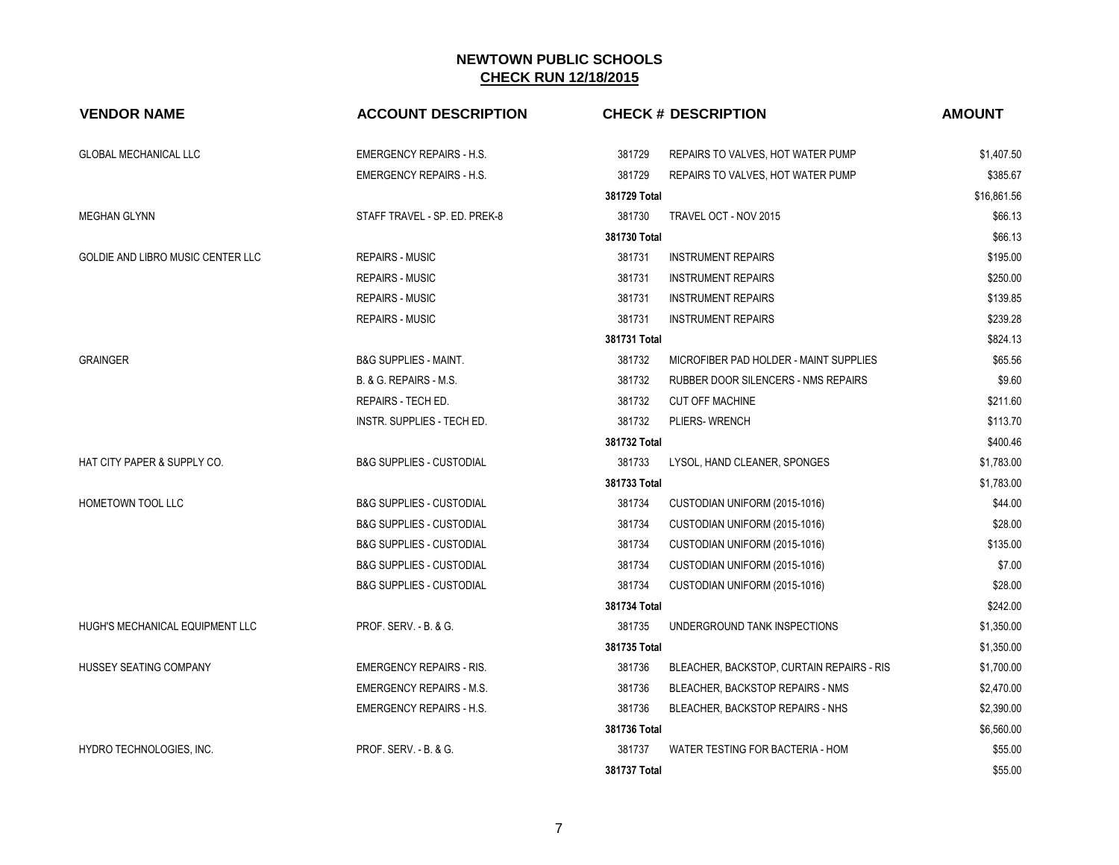| <b>VENDOR NAME</b>                | <b>ACCOUNT DESCRIPTION</b>          |              | <b>CHECK # DESCRIPTION</b>                 | <b>AMOUNT</b> |
|-----------------------------------|-------------------------------------|--------------|--------------------------------------------|---------------|
| <b>GLOBAL MECHANICAL LLC</b>      | <b>EMERGENCY REPAIRS - H.S.</b>     | 381729       | REPAIRS TO VALVES, HOT WATER PUMP          | \$1,407.50    |
|                                   | <b>EMERGENCY REPAIRS - H.S.</b>     | 381729       | REPAIRS TO VALVES, HOT WATER PUMP          | \$385.67      |
|                                   |                                     | 381729 Total |                                            | \$16,861.56   |
| <b>MEGHAN GLYNN</b>               | STAFF TRAVEL - SP. ED. PREK-8       | 381730       | TRAVEL OCT - NOV 2015                      | \$66.13       |
|                                   |                                     | 381730 Total |                                            | \$66.13       |
| GOLDIE AND LIBRO MUSIC CENTER LLC | <b>REPAIRS - MUSIC</b>              | 381731       | <b>INSTRUMENT REPAIRS</b>                  | \$195.00      |
|                                   | <b>REPAIRS - MUSIC</b>              | 381731       | <b>INSTRUMENT REPAIRS</b>                  | \$250.00      |
|                                   | <b>REPAIRS - MUSIC</b>              | 381731       | <b>INSTRUMENT REPAIRS</b>                  | \$139.85      |
|                                   | <b>REPAIRS - MUSIC</b>              | 381731       | <b>INSTRUMENT REPAIRS</b>                  | \$239.28      |
|                                   |                                     | 381731 Total |                                            | \$824.13      |
| <b>GRAINGER</b>                   | <b>B&amp;G SUPPLIES - MAINT.</b>    | 381732       | MICROFIBER PAD HOLDER - MAINT SUPPLIES     | \$65.56       |
|                                   | B. & G. REPAIRS - M.S.              | 381732       | <b>RUBBER DOOR SILENCERS - NMS REPAIRS</b> | \$9.60        |
|                                   | REPAIRS - TECH ED.                  | 381732       | <b>CUT OFF MACHINE</b>                     | \$211.60      |
|                                   | INSTR. SUPPLIES - TECH ED.          | 381732       | PLIERS-WRENCH                              | \$113.70      |
|                                   |                                     | 381732 Total |                                            | \$400.46      |
| HAT CITY PAPER & SUPPLY CO.       | <b>B&amp;G SUPPLIES - CUSTODIAL</b> | 381733       | LYSOL, HAND CLEANER, SPONGES               | \$1,783.00    |
|                                   |                                     | 381733 Total |                                            | \$1,783.00    |
| <b>HOMETOWN TOOL LLC</b>          | <b>B&amp;G SUPPLIES - CUSTODIAL</b> | 381734       | CUSTODIAN UNIFORM (2015-1016)              | \$44.00       |
|                                   | <b>B&amp;G SUPPLIES - CUSTODIAL</b> | 381734       | CUSTODIAN UNIFORM (2015-1016)              | \$28.00       |
|                                   | <b>B&amp;G SUPPLIES - CUSTODIAL</b> | 381734       | CUSTODIAN UNIFORM (2015-1016)              | \$135.00      |
|                                   | <b>B&amp;G SUPPLIES - CUSTODIAL</b> | 381734       | CUSTODIAN UNIFORM (2015-1016)              | \$7.00        |
|                                   | <b>B&amp;G SUPPLIES - CUSTODIAL</b> | 381734       | CUSTODIAN UNIFORM (2015-1016)              | \$28.00       |
|                                   |                                     | 381734 Total |                                            | \$242.00      |
| HUGH'S MECHANICAL EQUIPMENT LLC   | PROF. SERV. - B. & G.               | 381735       | UNDERGROUND TANK INSPECTIONS               | \$1,350.00    |
|                                   |                                     | 381735 Total |                                            | \$1,350.00    |
| HUSSEY SEATING COMPANY            | <b>EMERGENCY REPAIRS - RIS.</b>     | 381736       | BLEACHER, BACKSTOP, CURTAIN REPAIRS - RIS  | \$1,700.00    |
|                                   | <b>EMERGENCY REPAIRS - M.S.</b>     | 381736       | BLEACHER, BACKSTOP REPAIRS - NMS           | \$2,470.00    |
|                                   | <b>EMERGENCY REPAIRS - H.S.</b>     | 381736       | BLEACHER, BACKSTOP REPAIRS - NHS           | \$2,390.00    |
|                                   |                                     | 381736 Total |                                            | \$6,560.00    |
| HYDRO TECHNOLOGIES, INC.          | PROF. SERV. - B. & G.               | 381737       | WATER TESTING FOR BACTERIA - HOM           | \$55.00       |
|                                   |                                     | 381737 Total |                                            | \$55.00       |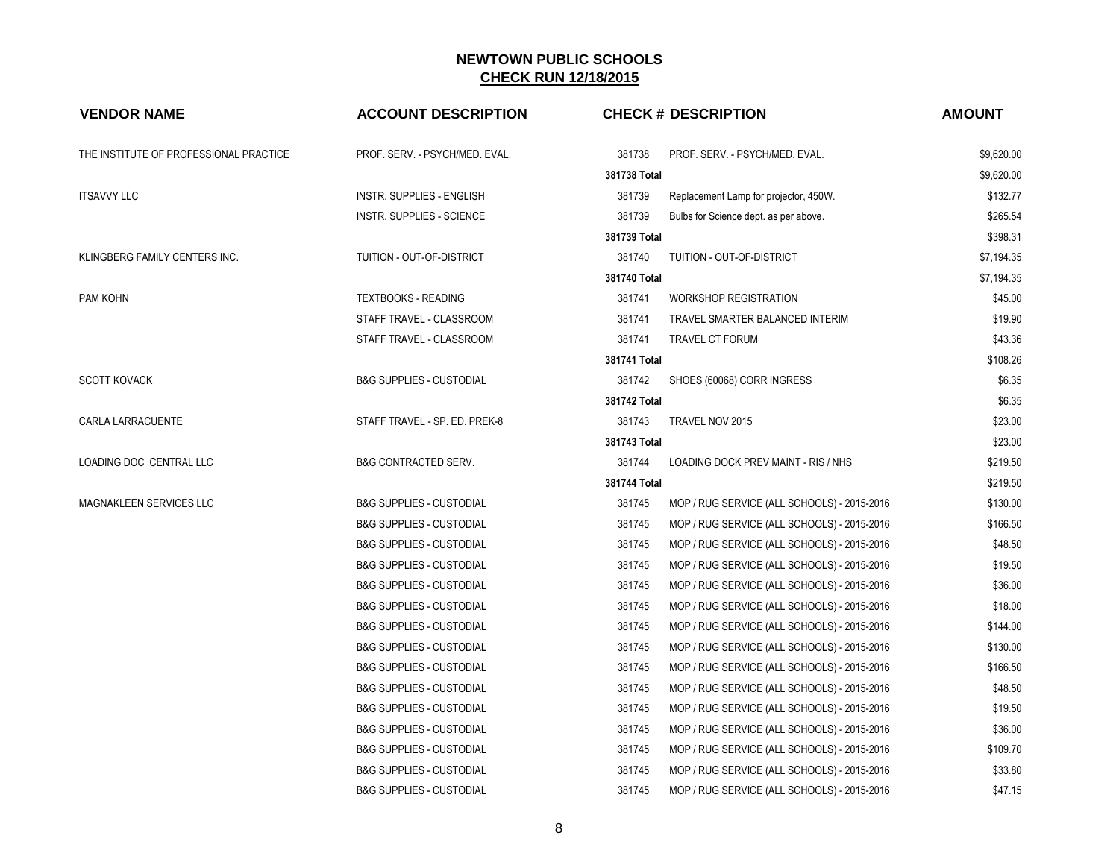| <b>VENDOR NAME</b>                     | <b>ACCOUNT DESCRIPTION</b>          |              | <b>CHECK # DESCRIPTION</b>                  | <b>AMOUNT</b> |
|----------------------------------------|-------------------------------------|--------------|---------------------------------------------|---------------|
| THE INSTITUTE OF PROFESSIONAL PRACTICE | PROF. SERV. - PSYCH/MED. EVAL.      | 381738       | PROF. SERV. - PSYCH/MED. EVAL.              | \$9,620.00    |
|                                        |                                     | 381738 Total |                                             | \$9,620.00    |
| <b>ITSAVVY LLC</b>                     | <b>INSTR. SUPPLIES - ENGLISH</b>    | 381739       | Replacement Lamp for projector, 450W.       | \$132.77      |
|                                        | <b>INSTR. SUPPLIES - SCIENCE</b>    | 381739       | Bulbs for Science dept. as per above.       | \$265.54      |
|                                        |                                     | 381739 Total |                                             | \$398.31      |
| KLINGBERG FAMILY CENTERS INC.          | TUITION - OUT-OF-DISTRICT           | 381740       | TUITION - OUT-OF-DISTRICT                   | \$7,194.35    |
|                                        |                                     | 381740 Total |                                             | \$7,194.35    |
| PAM KOHN                               | <b>TEXTBOOKS - READING</b>          | 381741       | <b>WORKSHOP REGISTRATION</b>                | \$45.00       |
|                                        | STAFF TRAVEL - CLASSROOM            | 381741       | TRAVEL SMARTER BALANCED INTERIM             | \$19.90       |
|                                        | STAFF TRAVEL - CLASSROOM            | 381741       | TRAVEL CT FORUM                             | \$43.36       |
|                                        |                                     | 381741 Total |                                             | \$108.26      |
| <b>SCOTT KOVACK</b>                    | <b>B&amp;G SUPPLIES - CUSTODIAL</b> | 381742       | SHOES (60068) CORR INGRESS                  | \$6.35        |
|                                        |                                     | 381742 Total |                                             | \$6.35        |
| CARLA LARRACUENTE                      | STAFF TRAVEL - SP. ED. PREK-8       | 381743       | TRAVEL NOV 2015                             | \$23.00       |
|                                        |                                     | 381743 Total |                                             | \$23.00       |
| LOADING DOC CENTRAL LLC                | <b>B&amp;G CONTRACTED SERV.</b>     | 381744       | LOADING DOCK PREV MAINT - RIS / NHS         | \$219.50      |
|                                        |                                     | 381744 Total |                                             | \$219.50      |
| MAGNAKLEEN SERVICES LLC                | <b>B&amp;G SUPPLIES - CUSTODIAL</b> | 381745       | MOP / RUG SERVICE (ALL SCHOOLS) - 2015-2016 | \$130.00      |
|                                        | <b>B&amp;G SUPPLIES - CUSTODIAL</b> | 381745       | MOP / RUG SERVICE (ALL SCHOOLS) - 2015-2016 | \$166.50      |
|                                        | <b>B&amp;G SUPPLIES - CUSTODIAL</b> | 381745       | MOP / RUG SERVICE (ALL SCHOOLS) - 2015-2016 | \$48.50       |
|                                        | <b>B&amp;G SUPPLIES - CUSTODIAL</b> | 381745       | MOP / RUG SERVICE (ALL SCHOOLS) - 2015-2016 | \$19.50       |
|                                        | <b>B&amp;G SUPPLIES - CUSTODIAL</b> | 381745       | MOP / RUG SERVICE (ALL SCHOOLS) - 2015-2016 | \$36.00       |
|                                        | <b>B&amp;G SUPPLIES - CUSTODIAL</b> | 381745       | MOP / RUG SERVICE (ALL SCHOOLS) - 2015-2016 | \$18.00       |
|                                        | <b>B&amp;G SUPPLIES - CUSTODIAL</b> | 381745       | MOP / RUG SERVICE (ALL SCHOOLS) - 2015-2016 | \$144.00      |
|                                        | <b>B&amp;G SUPPLIES - CUSTODIAL</b> | 381745       | MOP / RUG SERVICE (ALL SCHOOLS) - 2015-2016 | \$130.00      |
|                                        | <b>B&amp;G SUPPLIES - CUSTODIAL</b> | 381745       | MOP / RUG SERVICE (ALL SCHOOLS) - 2015-2016 | \$166.50      |
|                                        | <b>B&amp;G SUPPLIES - CUSTODIAL</b> | 381745       | MOP / RUG SERVICE (ALL SCHOOLS) - 2015-2016 | \$48.50       |
|                                        | <b>B&amp;G SUPPLIES - CUSTODIAL</b> | 381745       | MOP / RUG SERVICE (ALL SCHOOLS) - 2015-2016 | \$19.50       |
|                                        | <b>B&amp;G SUPPLIES - CUSTODIAL</b> | 381745       | MOP / RUG SERVICE (ALL SCHOOLS) - 2015-2016 | \$36.00       |
|                                        | <b>B&amp;G SUPPLIES - CUSTODIAL</b> | 381745       | MOP / RUG SERVICE (ALL SCHOOLS) - 2015-2016 | \$109.70      |
|                                        | <b>B&amp;G SUPPLIES - CUSTODIAL</b> | 381745       | MOP / RUG SERVICE (ALL SCHOOLS) - 2015-2016 | \$33.80       |
|                                        | <b>B&amp;G SUPPLIES - CUSTODIAL</b> | 381745       | MOP / RUG SERVICE (ALL SCHOOLS) - 2015-2016 | \$47.15       |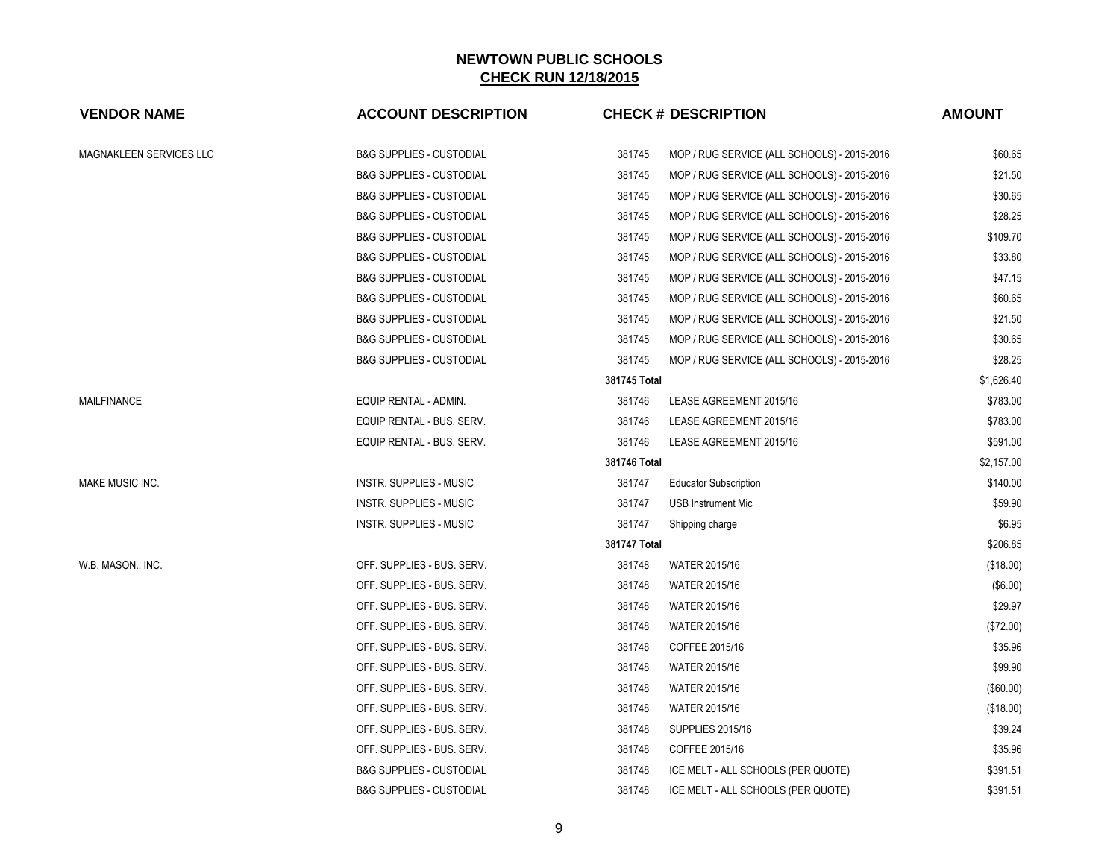| <b>VENDOR NAME</b>      | <b>ACCOUNT DESCRIPTION</b>          |              | <b>CHECK # DESCRIPTION</b>                  | <b>AMOUNT</b> |
|-------------------------|-------------------------------------|--------------|---------------------------------------------|---------------|
| MAGNAKLEEN SERVICES LLC | <b>B&amp;G SUPPLIES - CUSTODIAL</b> | 381745       | MOP / RUG SERVICE (ALL SCHOOLS) - 2015-2016 | \$60.65       |
|                         | <b>B&amp;G SUPPLIES - CUSTODIAL</b> | 381745       | MOP / RUG SERVICE (ALL SCHOOLS) - 2015-2016 | \$21.50       |
|                         | <b>B&amp;G SUPPLIES - CUSTODIAL</b> | 381745       | MOP / RUG SERVICE (ALL SCHOOLS) - 2015-2016 | \$30.65       |
|                         | <b>B&amp;G SUPPLIES - CUSTODIAL</b> | 381745       | MOP / RUG SERVICE (ALL SCHOOLS) - 2015-2016 | \$28.25       |
|                         | <b>B&amp;G SUPPLIES - CUSTODIAL</b> | 381745       | MOP / RUG SERVICE (ALL SCHOOLS) - 2015-2016 | \$109.70      |
|                         | <b>B&amp;G SUPPLIES - CUSTODIAL</b> | 381745       | MOP / RUG SERVICE (ALL SCHOOLS) - 2015-2016 | \$33.80       |
|                         | <b>B&amp;G SUPPLIES - CUSTODIAL</b> | 381745       | MOP / RUG SERVICE (ALL SCHOOLS) - 2015-2016 | \$47.15       |
|                         | <b>B&amp;G SUPPLIES - CUSTODIAL</b> | 381745       | MOP / RUG SERVICE (ALL SCHOOLS) - 2015-2016 | \$60.65       |
|                         | <b>B&amp;G SUPPLIES - CUSTODIAL</b> | 381745       | MOP / RUG SERVICE (ALL SCHOOLS) - 2015-2016 | \$21.50       |
|                         | <b>B&amp;G SUPPLIES - CUSTODIAL</b> | 381745       | MOP / RUG SERVICE (ALL SCHOOLS) - 2015-2016 | \$30.65       |
|                         | <b>B&amp;G SUPPLIES - CUSTODIAL</b> | 381745       | MOP / RUG SERVICE (ALL SCHOOLS) - 2015-2016 | \$28.25       |
|                         |                                     | 381745 Total |                                             | \$1,626.40    |
| <b>MAILFINANCE</b>      | EQUIP RENTAL - ADMIN.               | 381746       | LEASE AGREEMENT 2015/16                     | \$783.00      |
|                         | EQUIP RENTAL - BUS. SERV.           | 381746       | LEASE AGREEMENT 2015/16                     | \$783.00      |
|                         | EQUIP RENTAL - BUS. SERV.           | 381746       | LEASE AGREEMENT 2015/16                     | \$591.00      |
|                         |                                     | 381746 Total |                                             | \$2,157.00    |
| MAKE MUSIC INC.         | INSTR. SUPPLIES - MUSIC             | 381747       | <b>Educator Subscription</b>                | \$140.00      |
|                         | <b>INSTR. SUPPLIES - MUSIC</b>      | 381747       | <b>USB Instrument Mic</b>                   | \$59.90       |
|                         | <b>INSTR. SUPPLIES - MUSIC</b>      | 381747       | Shipping charge                             | \$6.95        |
|                         |                                     | 381747 Total |                                             | \$206.85      |
| W.B. MASON., INC.       | OFF. SUPPLIES - BUS. SERV.          | 381748       | <b>WATER 2015/16</b>                        | (\$18.00)     |
|                         | OFF. SUPPLIES - BUS. SERV.          | 381748       | <b>WATER 2015/16</b>                        | $($ \$6.00)   |
|                         | OFF. SUPPLIES - BUS. SERV.          | 381748       | WATER 2015/16                               | \$29.97       |
|                         | OFF. SUPPLIES - BUS. SERV.          | 381748       | <b>WATER 2015/16</b>                        | (\$72.00)     |
|                         | OFF. SUPPLIES - BUS. SERV.          | 381748       | COFFEE 2015/16                              | \$35.96       |
|                         | OFF. SUPPLIES - BUS. SERV.          | 381748       | WATER 2015/16                               | \$99.90       |
|                         | OFF. SUPPLIES - BUS. SERV.          | 381748       | <b>WATER 2015/16</b>                        | (\$60.00)     |
|                         | OFF. SUPPLIES - BUS. SERV.          | 381748       | WATER 2015/16                               | (\$18.00)     |
|                         | OFF. SUPPLIES - BUS. SERV.          | 381748       | <b>SUPPLIES 2015/16</b>                     | \$39.24       |
|                         | OFF. SUPPLIES - BUS. SERV.          | 381748       | COFFEE 2015/16                              | \$35.96       |
|                         | <b>B&amp;G SUPPLIES - CUSTODIAL</b> | 381748       | ICE MELT - ALL SCHOOLS (PER QUOTE)          | \$391.51      |
|                         | <b>B&amp;G SUPPLIES - CUSTODIAL</b> | 381748       | ICE MELT - ALL SCHOOLS (PER QUOTE)          | \$391.51      |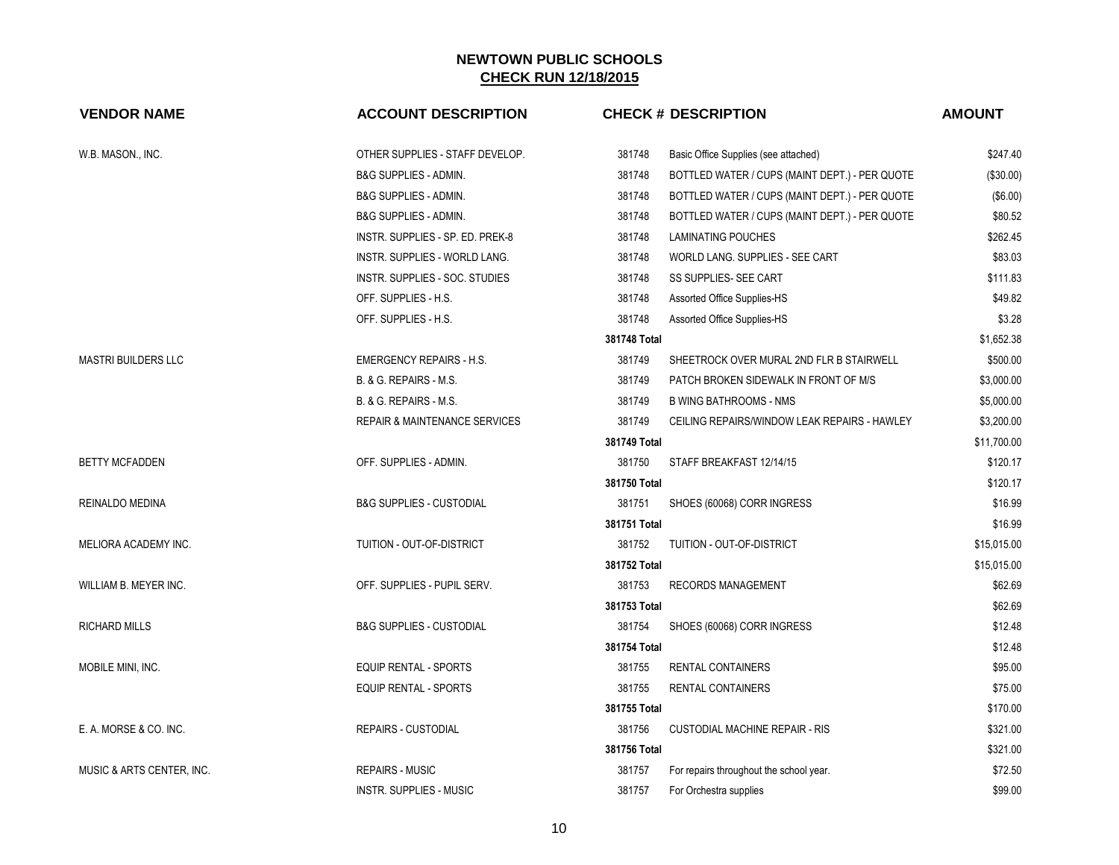| <b>VENDOR NAME</b>         | <b>ACCOUNT DESCRIPTION</b>           | <b>CHECK # DESCRIPTION</b>                        |                                                | <b>AMOUNT</b> |
|----------------------------|--------------------------------------|---------------------------------------------------|------------------------------------------------|---------------|
| W.B. MASON., INC.          | OTHER SUPPLIES - STAFF DEVELOP.      | 381748<br>Basic Office Supplies (see attached)    |                                                | \$247.40      |
|                            | <b>B&amp;G SUPPLIES - ADMIN.</b>     | 381748                                            | BOTTLED WATER / CUPS (MAINT DEPT.) - PER QUOTE | $(\$30.00)$   |
|                            | B&G SUPPLIES - ADMIN.                | 381748                                            | BOTTLED WATER / CUPS (MAINT DEPT.) - PER QUOTE | (\$6.00)      |
|                            | <b>B&amp;G SUPPLIES - ADMIN.</b>     | 381748                                            | BOTTLED WATER / CUPS (MAINT DEPT.) - PER QUOTE | \$80.52       |
|                            | INSTR. SUPPLIES - SP. ED. PREK-8     | 381748<br><b>LAMINATING POUCHES</b>               |                                                | \$262.45      |
|                            | <b>INSTR. SUPPLIES - WORLD LANG.</b> | 381748                                            | WORLD LANG. SUPPLIES - SEE CART                | \$83.03       |
|                            | INSTR. SUPPLIES - SOC. STUDIES       | 381748<br>SS SUPPLIES- SEE CART                   |                                                | \$111.83      |
|                            | OFF. SUPPLIES - H.S.                 | 381748<br>Assorted Office Supplies-HS             |                                                | \$49.82       |
|                            | OFF. SUPPLIES - H.S.                 | 381748<br>Assorted Office Supplies-HS             |                                                | \$3.28        |
|                            |                                      | 381748 Total                                      |                                                | \$1,652.38    |
| <b>MASTRI BUILDERS LLC</b> | <b>EMERGENCY REPAIRS - H.S.</b>      | 381749                                            | SHEETROCK OVER MURAL 2ND FLR B STAIRWELL       | \$500.00      |
|                            | B. & G. REPAIRS - M.S.               | 381749                                            | PATCH BROKEN SIDEWALK IN FRONT OF M/S          | \$3,000.00    |
|                            | B. & G. REPAIRS - M.S.               | 381749<br><b>B WING BATHROOMS - NMS</b>           |                                                | \$5,000.00    |
|                            | REPAIR & MAINTENANCE SERVICES        | 381749                                            | CEILING REPAIRS/WINDOW LEAK REPAIRS - HAWLEY   | \$3,200.00    |
|                            |                                      | 381749 Total                                      |                                                | \$11,700.00   |
| <b>BETTY MCFADDEN</b>      | OFF. SUPPLIES - ADMIN.               | 381750<br>STAFF BREAKFAST 12/14/15                |                                                | \$120.17      |
|                            |                                      | 381750 Total                                      |                                                | \$120.17      |
| REINALDO MEDINA            | <b>B&amp;G SUPPLIES - CUSTODIAL</b>  | 381751<br>SHOES (60068) CORR INGRESS              |                                                | \$16.99       |
|                            |                                      | 381751 Total                                      |                                                | \$16.99       |
| MELIORA ACADEMY INC.       | TUITION - OUT-OF-DISTRICT            | 381752<br>TUITION - OUT-OF-DISTRICT               |                                                | \$15.015.00   |
|                            |                                      | 381752 Total                                      |                                                | \$15,015.00   |
| WILLIAM B. MEYER INC.      | OFF. SUPPLIES - PUPIL SERV.          | 381753<br><b>RECORDS MANAGEMENT</b>               |                                                | \$62.69       |
|                            |                                      | 381753 Total                                      |                                                | \$62.69       |
| <b>RICHARD MILLS</b>       | <b>B&amp;G SUPPLIES - CUSTODIAL</b>  | 381754<br>SHOES (60068) CORR INGRESS              |                                                | \$12.48       |
|                            |                                      | 381754 Total                                      |                                                | \$12.48       |
| MOBILE MINI, INC.          | <b>EQUIP RENTAL - SPORTS</b>         | 381755<br><b>RENTAL CONTAINERS</b>                |                                                | \$95.00       |
|                            | <b>EQUIP RENTAL - SPORTS</b>         | 381755<br><b>RENTAL CONTAINERS</b>                |                                                | \$75.00       |
|                            |                                      | 381755 Total                                      |                                                | \$170.00      |
| E. A. MORSE & CO. INC.     | <b>REPAIRS - CUSTODIAL</b>           | 381756<br><b>CUSTODIAL MACHINE REPAIR - RIS</b>   |                                                | \$321.00      |
|                            |                                      | 381756 Total                                      |                                                | \$321.00      |
| MUSIC & ARTS CENTER, INC.  | <b>REPAIRS - MUSIC</b>               | 381757<br>For repairs throughout the school year. |                                                | \$72.50       |
|                            | <b>INSTR. SUPPLIES - MUSIC</b>       | 381757<br>For Orchestra supplies                  |                                                | \$99.00       |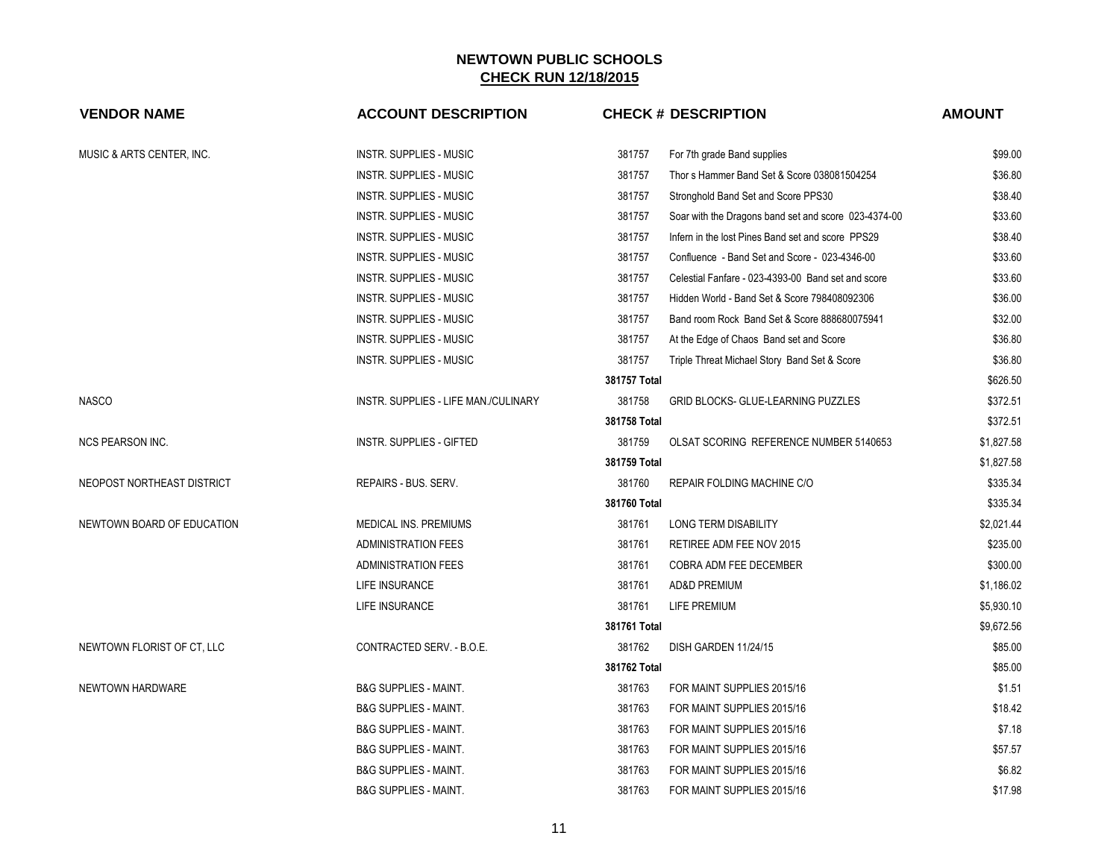| <b>VENDOR NAME</b>         | <b>ACCOUNT DESCRIPTION</b>           |              | <b>CHECK # DESCRIPTION</b>                           | <b>AMOUNT</b> |
|----------------------------|--------------------------------------|--------------|------------------------------------------------------|---------------|
| MUSIC & ARTS CENTER, INC.  | <b>INSTR. SUPPLIES - MUSIC</b>       | 381757       | For 7th grade Band supplies                          | \$99.00       |
|                            | <b>INSTR. SUPPLIES - MUSIC</b>       | 381757       | Thor s Hammer Band Set & Score 038081504254          | \$36.80       |
|                            | <b>INSTR. SUPPLIES - MUSIC</b>       | 381757       | Stronghold Band Set and Score PPS30                  | \$38.40       |
|                            | <b>INSTR. SUPPLIES - MUSIC</b>       | 381757       | Soar with the Dragons band set and score 023-4374-00 | \$33.60       |
|                            | <b>INSTR. SUPPLIES - MUSIC</b>       | 381757       | Infern in the lost Pines Band set and score PPS29    | \$38.40       |
|                            | <b>INSTR. SUPPLIES - MUSIC</b>       | 381757       | Confluence - Band Set and Score - 023-4346-00        | \$33.60       |
|                            | <b>INSTR. SUPPLIES - MUSIC</b>       | 381757       | Celestial Fanfare - 023-4393-00 Band set and score   | \$33.60       |
|                            | <b>INSTR. SUPPLIES - MUSIC</b>       | 381757       | Hidden World - Band Set & Score 798408092306         | \$36.00       |
|                            | <b>INSTR. SUPPLIES - MUSIC</b>       | 381757       | Band room Rock Band Set & Score 888680075941         | \$32.00       |
|                            | <b>INSTR. SUPPLIES - MUSIC</b>       | 381757       | At the Edge of Chaos Band set and Score              | \$36.80       |
|                            | <b>INSTR. SUPPLIES - MUSIC</b>       | 381757       | Triple Threat Michael Story Band Set & Score         | \$36.80       |
|                            |                                      | 381757 Total |                                                      | \$626.50      |
| <b>NASCO</b>               | INSTR. SUPPLIES - LIFE MAN./CULINARY | 381758       | GRID BLOCKS- GLUE-LEARNING PUZZLES                   | \$372.51      |
|                            |                                      | 381758 Total |                                                      | \$372.51      |
| <b>NCS PEARSON INC.</b>    | <b>INSTR. SUPPLIES - GIFTED</b>      | 381759       | OLSAT SCORING REFERENCE NUMBER 5140653               | \$1,827.58    |
|                            |                                      | 381759 Total |                                                      | \$1,827.58    |
| NEOPOST NORTHEAST DISTRICT | REPAIRS - BUS. SERV.                 | 381760       | REPAIR FOLDING MACHINE C/O                           | \$335.34      |
|                            |                                      | 381760 Total |                                                      | \$335.34      |
| NEWTOWN BOARD OF EDUCATION | MEDICAL INS. PREMIUMS                | 381761       | LONG TERM DISABILITY                                 | \$2,021.44    |
|                            | <b>ADMINISTRATION FEES</b>           | 381761       | RETIREE ADM FEE NOV 2015                             | \$235.00      |
|                            | <b>ADMINISTRATION FEES</b>           | 381761       | COBRA ADM FEE DECEMBER                               | \$300.00      |
|                            | LIFE INSURANCE                       | 381761       | AD&D PREMIUM                                         | \$1,186.02    |
|                            | LIFE INSURANCE                       | 381761       | <b>LIFE PREMIUM</b>                                  | \$5,930.10    |
|                            |                                      | 381761 Total |                                                      | \$9,672.56    |
| NEWTOWN FLORIST OF CT, LLC | CONTRACTED SERV. - B.O.E.            | 381762       | DISH GARDEN 11/24/15                                 | \$85.00       |
|                            |                                      | 381762 Total |                                                      | \$85.00       |
| NEWTOWN HARDWARE           | <b>B&amp;G SUPPLIES - MAINT.</b>     | 381763       | FOR MAINT SUPPLIES 2015/16                           | \$1.51        |
|                            | <b>B&amp;G SUPPLIES - MAINT.</b>     | 381763       | FOR MAINT SUPPLIES 2015/16                           | \$18.42       |
|                            | <b>B&amp;G SUPPLIES - MAINT.</b>     | 381763       | FOR MAINT SUPPLIES 2015/16                           | \$7.18        |
|                            | <b>B&amp;G SUPPLIES - MAINT.</b>     | 381763       | FOR MAINT SUPPLIES 2015/16                           | \$57.57       |
|                            | <b>B&amp;G SUPPLIES - MAINT.</b>     | 381763       | FOR MAINT SUPPLIES 2015/16                           | \$6.82        |
|                            | <b>B&amp;G SUPPLIES - MAINT.</b>     | 381763       | FOR MAINT SUPPLIES 2015/16                           | \$17.98       |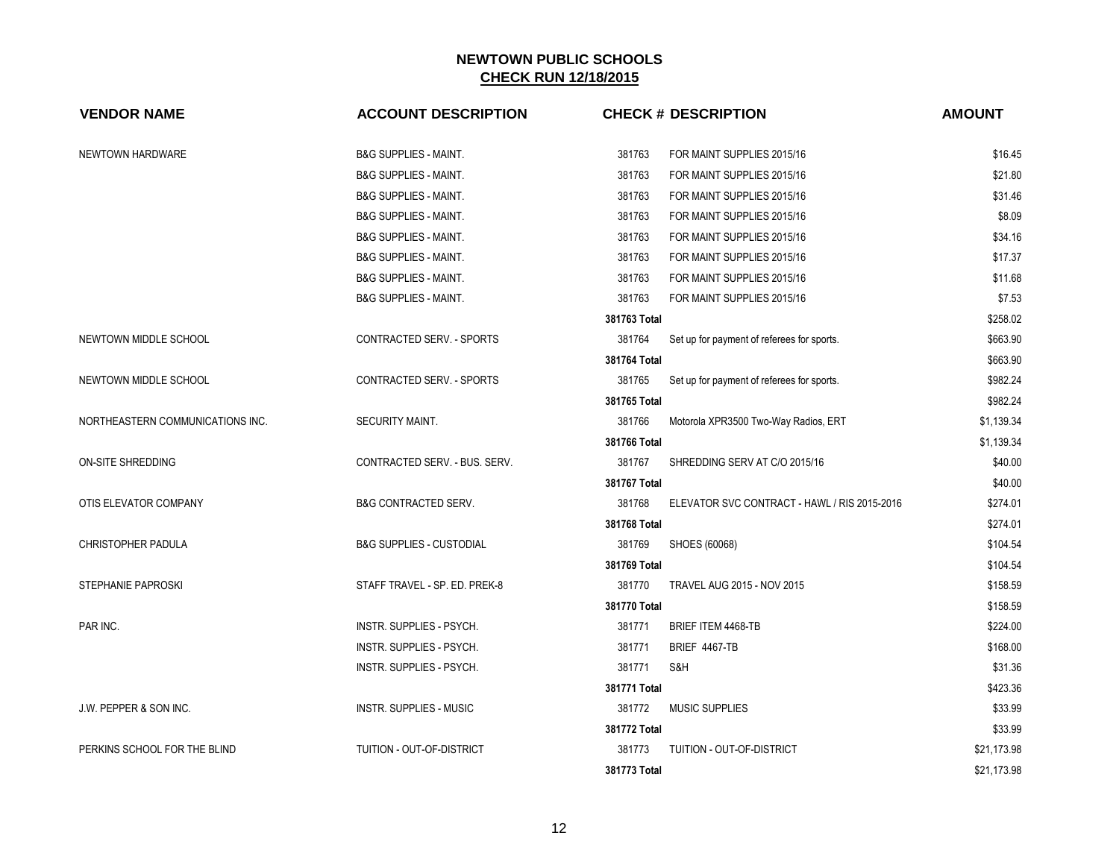| <b>VENDOR NAME</b>               | <b>ACCOUNT DESCRIPTION</b>          | <b>CHECK # DESCRIPTION</b>                             | <b>AMOUNT</b> |
|----------------------------------|-------------------------------------|--------------------------------------------------------|---------------|
| NEWTOWN HARDWARE                 | <b>B&amp;G SUPPLIES - MAINT.</b>    | 381763<br>FOR MAINT SUPPLIES 2015/16                   | \$16.45       |
|                                  | <b>B&amp;G SUPPLIES - MAINT.</b>    | 381763<br>FOR MAINT SUPPLIES 2015/16                   | \$21.80       |
|                                  | <b>B&amp;G SUPPLIES - MAINT.</b>    | 381763<br>FOR MAINT SUPPLIES 2015/16                   | \$31.46       |
|                                  | <b>B&amp;G SUPPLIES - MAINT.</b>    | 381763<br>FOR MAINT SUPPLIES 2015/16                   | \$8.09        |
|                                  | <b>B&amp;G SUPPLIES - MAINT.</b>    | 381763<br>FOR MAINT SUPPLIES 2015/16                   | \$34.16       |
|                                  | <b>B&amp;G SUPPLIES - MAINT.</b>    | 381763<br>FOR MAINT SUPPLIES 2015/16                   | \$17.37       |
|                                  | <b>B&amp;G SUPPLIES - MAINT.</b>    | 381763<br>FOR MAINT SUPPLIES 2015/16                   | \$11.68       |
|                                  | <b>B&amp;G SUPPLIES - MAINT.</b>    | 381763<br>FOR MAINT SUPPLIES 2015/16                   | \$7.53        |
|                                  |                                     | 381763 Total                                           | \$258.02      |
| NEWTOWN MIDDLE SCHOOL            | CONTRACTED SERV. - SPORTS           | 381764<br>Set up for payment of referees for sports.   | \$663.90      |
|                                  |                                     | 381764 Total                                           | \$663.90      |
| NEWTOWN MIDDLE SCHOOL            | CONTRACTED SERV. - SPORTS           | 381765<br>Set up for payment of referees for sports.   | \$982.24      |
|                                  |                                     | 381765 Total                                           | \$982.24      |
| NORTHEASTERN COMMUNICATIONS INC. | SECURITY MAINT.                     | 381766<br>Motorola XPR3500 Two-Way Radios, ERT         | \$1,139.34    |
|                                  |                                     | 381766 Total                                           | \$1,139.34    |
| ON-SITE SHREDDING                | CONTRACTED SERV. - BUS. SERV.       | 381767<br>SHREDDING SERV AT C/O 2015/16                | \$40.00       |
|                                  |                                     | 381767 Total                                           | \$40.00       |
| OTIS ELEVATOR COMPANY            | <b>B&amp;G CONTRACTED SERV.</b>     | 381768<br>ELEVATOR SVC CONTRACT - HAWL / RIS 2015-2016 | \$274.01      |
|                                  |                                     | 381768 Total                                           | \$274.01      |
| <b>CHRISTOPHER PADULA</b>        | <b>B&amp;G SUPPLIES - CUSTODIAL</b> | 381769<br>SHOES (60068)                                | \$104.54      |
|                                  |                                     | 381769 Total                                           | \$104.54      |
| <b>STEPHANIE PAPROSKI</b>        | STAFF TRAVEL - SP. ED. PREK-8       | 381770<br>TRAVEL AUG 2015 - NOV 2015                   | \$158.59      |
|                                  |                                     | 381770 Total                                           | \$158.59      |
| PAR INC.                         | INSTR. SUPPLIES - PSYCH.            | 381771<br><b>BRIEF ITEM 4468-TB</b>                    | \$224.00      |
|                                  | INSTR. SUPPLIES - PSYCH.            | 381771<br>BRIEF 4467-TB                                | \$168.00      |
|                                  | <b>INSTR. SUPPLIES - PSYCH.</b>     | 381771<br>S&H                                          | \$31.36       |
|                                  |                                     | 381771 Total                                           | \$423.36      |
| J.W. PEPPER & SON INC.           | <b>INSTR. SUPPLIES - MUSIC</b>      | 381772<br><b>MUSIC SUPPLIES</b>                        | \$33.99       |
|                                  |                                     | 381772 Total                                           | \$33.99       |
| PERKINS SCHOOL FOR THE BLIND     | TUITION - OUT-OF-DISTRICT           | 381773<br>TUITION - OUT-OF-DISTRICT                    | \$21,173.98   |
|                                  |                                     | 381773 Total                                           | \$21,173.98   |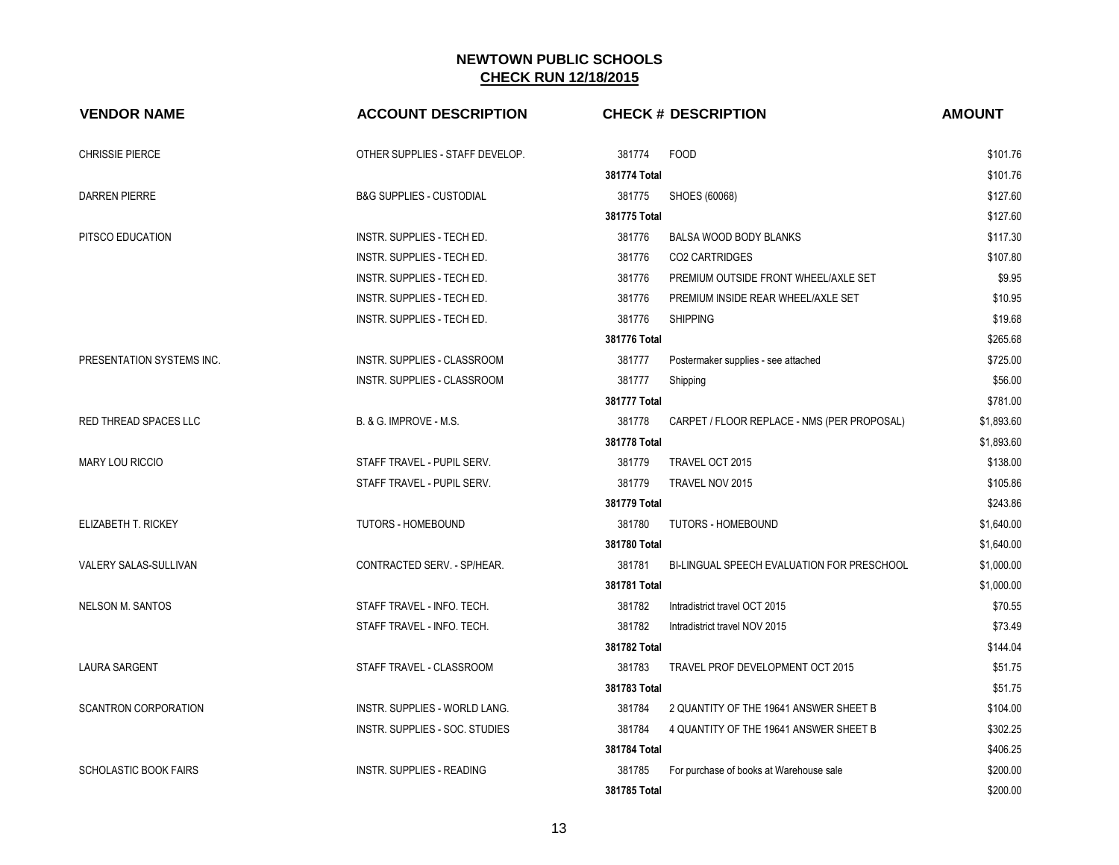| <b>VENDOR NAME</b>           | <b>ACCOUNT DESCRIPTION</b>          | <b>CHECK # DESCRIPTION</b>                            | <b>AMOUNT</b> |
|------------------------------|-------------------------------------|-------------------------------------------------------|---------------|
| <b>CHRISSIE PIERCE</b>       | OTHER SUPPLIES - STAFF DEVELOP.     | 381774<br><b>FOOD</b>                                 | \$101.76      |
|                              |                                     | 381774 Total                                          | \$101.76      |
| DARREN PIERRE                | <b>B&amp;G SUPPLIES - CUSTODIAL</b> | 381775<br>SHOES (60068)                               | \$127.60      |
|                              |                                     | 381775 Total                                          | \$127.60      |
| PITSCO EDUCATION             | INSTR. SUPPLIES - TECH ED.          | 381776<br>BALSA WOOD BODY BLANKS                      | \$117.30      |
|                              | INSTR. SUPPLIES - TECH ED.          | 381776<br>CO2 CARTRIDGES                              | \$107.80      |
|                              | INSTR. SUPPLIES - TECH ED.          | 381776<br>PREMIUM OUTSIDE FRONT WHEEL/AXLE SET        | \$9.95        |
|                              | INSTR. SUPPLIES - TECH ED.          | 381776<br>PREMIUM INSIDE REAR WHEEL/AXLE SET          | \$10.95       |
|                              | INSTR. SUPPLIES - TECH ED.          | 381776<br><b>SHIPPING</b>                             | \$19.68       |
|                              |                                     | 381776 Total                                          | \$265.68      |
| PRESENTATION SYSTEMS INC.    | INSTR. SUPPLIES - CLASSROOM         | 381777<br>Postermaker supplies - see attached         | \$725.00      |
|                              | INSTR. SUPPLIES - CLASSROOM         | 381777<br>Shipping                                    | \$56.00       |
|                              |                                     | 381777 Total                                          | \$781.00      |
| RED THREAD SPACES LLC        | B. & G. IMPROVE - M.S.              | 381778<br>CARPET / FLOOR REPLACE - NMS (PER PROPOSAL) | \$1,893.60    |
|                              |                                     | 381778 Total                                          | \$1,893.60    |
| <b>MARY LOU RICCIO</b>       | STAFF TRAVEL - PUPIL SERV.          | 381779<br>TRAVEL OCT 2015                             | \$138.00      |
|                              | STAFF TRAVEL - PUPIL SERV.          | 381779<br>TRAVEL NOV 2015                             | \$105.86      |
|                              |                                     | 381779 Total                                          | \$243.86      |
| ELIZABETH T. RICKEY          | TUTORS - HOMEBOUND                  | 381780<br><b>TUTORS - HOMEBOUND</b>                   | \$1,640.00    |
|                              |                                     | 381780 Total                                          | \$1,640.00    |
| VALERY SALAS-SULLIVAN        | CONTRACTED SERV. - SP/HEAR.         | 381781<br>BI-LINGUAL SPEECH EVALUATION FOR PRESCHOOL  | \$1,000.00    |
|                              |                                     | 381781 Total                                          | \$1,000.00    |
| <b>NELSON M. SANTOS</b>      | STAFF TRAVEL - INFO. TECH.          | 381782<br>Intradistrict travel OCT 2015               | \$70.55       |
|                              | STAFF TRAVEL - INFO. TECH.          | 381782<br>Intradistrict travel NOV 2015               | \$73.49       |
|                              |                                     | 381782 Total                                          | \$144.04      |
| LAURA SARGENT                | STAFF TRAVEL - CLASSROOM            | 381783<br>TRAVEL PROF DEVELOPMENT OCT 2015            | \$51.75       |
|                              |                                     | 381783 Total                                          | \$51.75       |
| <b>SCANTRON CORPORATION</b>  | INSTR. SUPPLIES - WORLD LANG.       | 381784<br>2 QUANTITY OF THE 19641 ANSWER SHEET B      | \$104.00      |
|                              | INSTR. SUPPLIES - SOC. STUDIES      | 381784<br>4 QUANTITY OF THE 19641 ANSWER SHEET B      | \$302.25      |
|                              |                                     | 381784 Total                                          | \$406.25      |
| <b>SCHOLASTIC BOOK FAIRS</b> | INSTR. SUPPLIES - READING           | 381785<br>For purchase of books at Warehouse sale     | \$200.00      |
|                              |                                     | 381785 Total                                          | \$200.00      |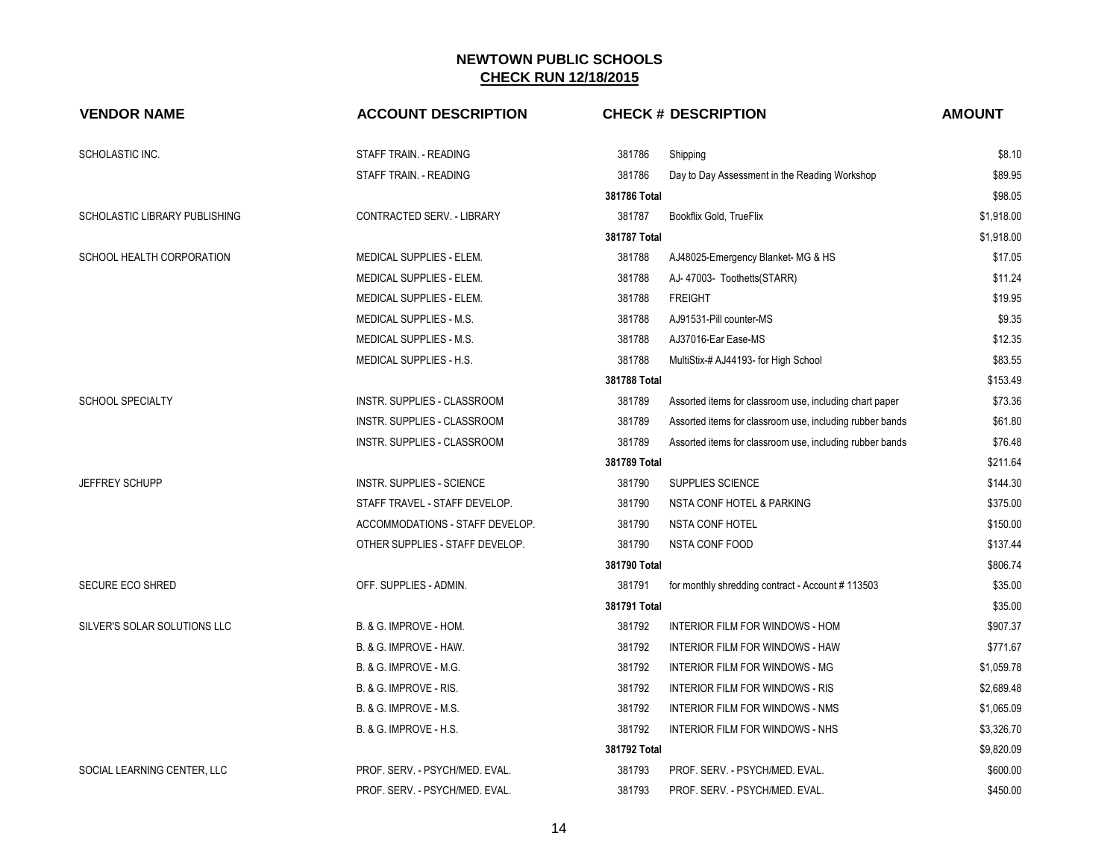| <b>VENDOR NAME</b>            | <b>ACCOUNT DESCRIPTION</b>        |              | <b>CHECK # DESCRIPTION</b>                               | <b>AMOUNT</b> |
|-------------------------------|-----------------------------------|--------------|----------------------------------------------------------|---------------|
| SCHOLASTIC INC.               | STAFF TRAIN. - READING            | 381786       | Shipping                                                 | \$8.10        |
|                               | STAFF TRAIN. - READING            | 381786       | Day to Day Assessment in the Reading Workshop            | \$89.95       |
|                               |                                   | 381786 Total |                                                          | \$98.05       |
| SCHOLASTIC LIBRARY PUBLISHING | CONTRACTED SERV. - LIBRARY        | 381787       | Bookflix Gold, TrueFlix                                  | \$1,918.00    |
|                               |                                   | 381787 Total |                                                          | \$1,918.00    |
| SCHOOL HEALTH CORPORATION     | MEDICAL SUPPLIES - ELEM.          | 381788       | AJ48025-Emergency Blanket- MG & HS                       | \$17.05       |
|                               | MEDICAL SUPPLIES - ELEM.          | 381788       | AJ-47003- Toothetts(STARR)                               | \$11.24       |
|                               | MEDICAL SUPPLIES - ELEM.          | 381788       | <b>FREIGHT</b>                                           | \$19.95       |
|                               | MEDICAL SUPPLIES - M.S.           | 381788       | AJ91531-Pill counter-MS                                  | \$9.35        |
|                               | MEDICAL SUPPLIES - M.S.           | 381788       | AJ37016-Ear Ease-MS                                      | \$12.35       |
|                               | MEDICAL SUPPLIES - H.S.           | 381788       | MultiStix-# AJ44193- for High School                     | \$83.55       |
|                               |                                   | 381788 Total |                                                          | \$153.49      |
| <b>SCHOOL SPECIALTY</b>       | INSTR. SUPPLIES - CLASSROOM       | 381789       | Assorted items for classroom use, including chart paper  | \$73.36       |
|                               | INSTR. SUPPLIES - CLASSROOM       | 381789       | Assorted items for classroom use, including rubber bands | \$61.80       |
|                               | INSTR. SUPPLIES - CLASSROOM       | 381789       | Assorted items for classroom use, including rubber bands | \$76.48       |
|                               |                                   | 381789 Total |                                                          | \$211.64      |
| JEFFREY SCHUPP                | INSTR. SUPPLIES - SCIENCE         | 381790       | SUPPLIES SCIENCE                                         | \$144.30      |
|                               | STAFF TRAVEL - STAFF DEVELOP.     | 381790       | NSTA CONF HOTEL & PARKING                                | \$375.00      |
|                               | ACCOMMODATIONS - STAFF DEVELOP.   | 381790       | <b>NSTA CONF HOTEL</b>                                   | \$150.00      |
|                               | OTHER SUPPLIES - STAFF DEVELOP.   | 381790       | NSTA CONF FOOD                                           | \$137.44      |
|                               |                                   | 381790 Total |                                                          | \$806.74      |
| <b>SECURE ECO SHRED</b>       | OFF. SUPPLIES - ADMIN.            | 381791       | for monthly shredding contract - Account #113503         | \$35.00       |
|                               |                                   | 381791 Total |                                                          | \$35.00       |
| SILVER'S SOLAR SOLUTIONS LLC  | B. & G. IMPROVE - HOM.            | 381792       | INTERIOR FILM FOR WINDOWS - HOM                          | \$907.37      |
|                               | B. & G. IMPROVE - HAW.            | 381792       | INTERIOR FILM FOR WINDOWS - HAW                          | \$771.67      |
|                               | B. & G. IMPROVE - M.G.            | 381792       | INTERIOR FILM FOR WINDOWS - MG                           | \$1,059.78    |
|                               | B. & G. IMPROVE - RIS.            | 381792       | INTERIOR FILM FOR WINDOWS - RIS                          | \$2,689.48    |
|                               | B. & G. IMPROVE - M.S.            | 381792       | INTERIOR FILM FOR WINDOWS - NMS                          | \$1,065.09    |
|                               | <b>B. &amp; G. IMPROVE - H.S.</b> | 381792       | INTERIOR FILM FOR WINDOWS - NHS                          | \$3,326.70    |
|                               |                                   | 381792 Total |                                                          | \$9,820.09    |
| SOCIAL LEARNING CENTER, LLC   | PROF. SERV. - PSYCH/MED. EVAL.    | 381793       | PROF. SERV. - PSYCH/MED. EVAL.                           | \$600.00      |
|                               | PROF. SERV. - PSYCH/MED. EVAL.    | 381793       | PROF. SERV. - PSYCH/MED. EVAL.                           | \$450.00      |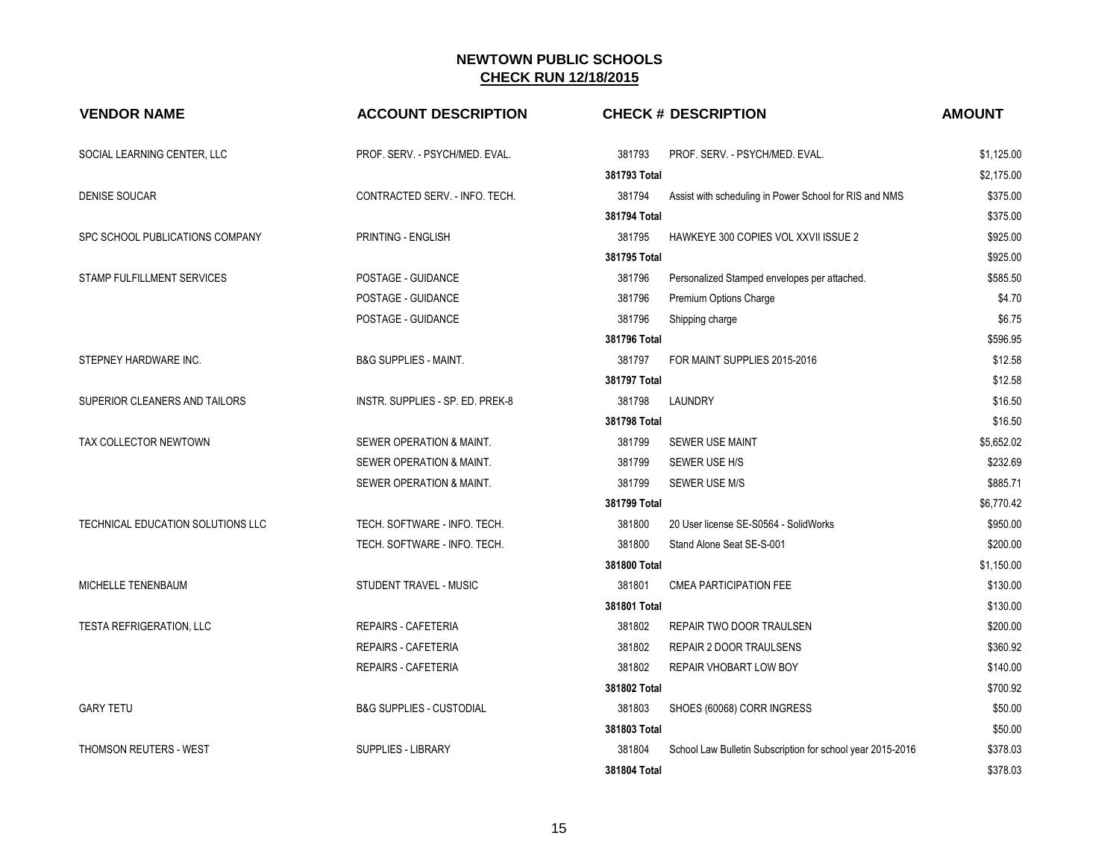| <b>VENDOR NAME</b>                | <b>ACCOUNT DESCRIPTION</b>          |              | <b>CHECK # DESCRIPTION</b>                                 | <b>AMOUNT</b> |
|-----------------------------------|-------------------------------------|--------------|------------------------------------------------------------|---------------|
| SOCIAL LEARNING CENTER, LLC       | PROF. SERV. - PSYCH/MED. EVAL.      | 381793       | PROF. SERV. - PSYCH/MED. EVAL.                             | \$1,125.00    |
|                                   |                                     | 381793 Total |                                                            | \$2,175.00    |
| DENISE SOUCAR                     | CONTRACTED SERV. - INFO. TECH.      | 381794       | Assist with scheduling in Power School for RIS and NMS     | \$375.00      |
|                                   |                                     | 381794 Total |                                                            | \$375.00      |
| SPC SCHOOL PUBLICATIONS COMPANY   | PRINTING - ENGLISH                  | 381795       | HAWKEYE 300 COPIES VOL XXVII ISSUE 2                       | \$925.00      |
|                                   |                                     | 381795 Total |                                                            | \$925.00      |
| STAMP FULFILLMENT SERVICES        | POSTAGE - GUIDANCE                  | 381796       | Personalized Stamped envelopes per attached.               | \$585.50      |
|                                   | POSTAGE - GUIDANCE                  | 381796       | Premium Options Charge                                     | \$4.70        |
|                                   | POSTAGE - GUIDANCE                  | 381796       | Shipping charge                                            | \$6.75        |
|                                   |                                     | 381796 Total |                                                            | \$596.95      |
| STEPNEY HARDWARE INC.             | <b>B&amp;G SUPPLIES - MAINT.</b>    | 381797       | FOR MAINT SUPPLIES 2015-2016                               | \$12.58       |
|                                   |                                     | 381797 Total |                                                            | \$12.58       |
| SUPERIOR CLEANERS AND TAILORS     | INSTR. SUPPLIES - SP. ED. PREK-8    | 381798       | LAUNDRY                                                    | \$16.50       |
|                                   |                                     | 381798 Total |                                                            | \$16.50       |
| TAX COLLECTOR NEWTOWN             | SEWER OPERATION & MAINT.            | 381799       | <b>SEWER USE MAINT</b>                                     | \$5,652.02    |
|                                   | SEWER OPERATION & MAINT.            | 381799       | SEWER USE H/S                                              | \$232.69      |
|                                   | SEWER OPERATION & MAINT.            | 381799       | SEWER USE M/S                                              | \$885.71      |
|                                   |                                     | 381799 Total |                                                            | \$6,770.42    |
| TECHNICAL EDUCATION SOLUTIONS LLC | TECH. SOFTWARE - INFO. TECH.        | 381800       | 20 User license SE-S0564 - SolidWorks                      | \$950.00      |
|                                   | TECH. SOFTWARE - INFO. TECH.        | 381800       | Stand Alone Seat SE-S-001                                  | \$200.00      |
|                                   |                                     | 381800 Total |                                                            | \$1,150.00    |
| MICHELLE TENENBAUM                | STUDENT TRAVEL - MUSIC              | 381801       | <b>CMEA PARTICIPATION FEE</b>                              | \$130.00      |
|                                   |                                     | 381801 Total |                                                            | \$130.00      |
| <b>TESTA REFRIGERATION, LLC</b>   | <b>REPAIRS - CAFETERIA</b>          | 381802       | REPAIR TWO DOOR TRAULSEN                                   | \$200.00      |
|                                   | <b>REPAIRS - CAFETERIA</b>          | 381802       | REPAIR 2 DOOR TRAULSENS                                    | \$360.92      |
|                                   | <b>REPAIRS - CAFETERIA</b>          | 381802       | REPAIR VHOBART LOW BOY                                     | \$140.00      |
|                                   |                                     | 381802 Total |                                                            | \$700.92      |
| <b>GARY TETU</b>                  | <b>B&amp;G SUPPLIES - CUSTODIAL</b> | 381803       | SHOES (60068) CORR INGRESS                                 | \$50.00       |
|                                   |                                     | 381803 Total |                                                            | \$50.00       |
| THOMSON REUTERS - WEST            | SUPPLIES - LIBRARY                  | 381804       | School Law Bulletin Subscription for school year 2015-2016 | \$378.03      |
|                                   |                                     | 381804 Total |                                                            | \$378.03      |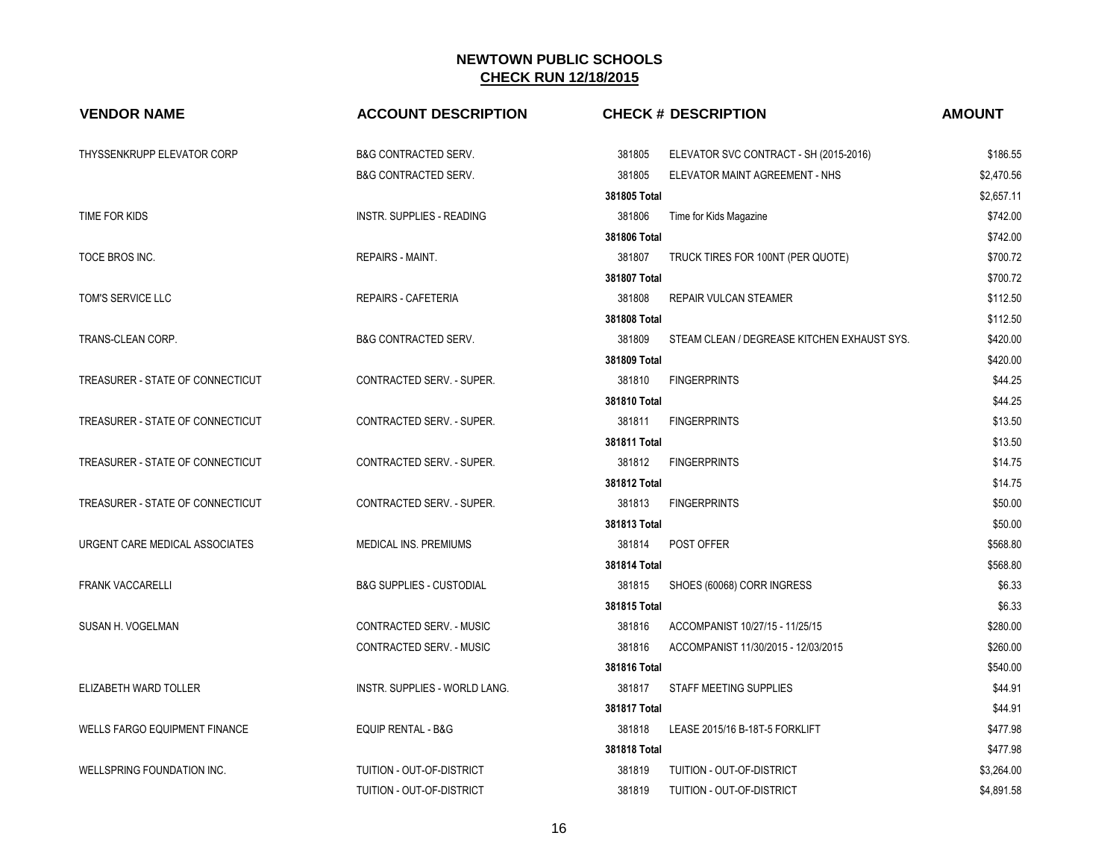| <b>VENDOR NAME</b>                   | <b>ACCOUNT DESCRIPTION</b>          | <b>CHECK # DESCRIPTION</b>                            | <b>AMOUNT</b> |
|--------------------------------------|-------------------------------------|-------------------------------------------------------|---------------|
| THYSSENKRUPP ELEVATOR CORP           | <b>B&amp;G CONTRACTED SERV.</b>     | 381805<br>ELEVATOR SVC CONTRACT - SH (2015-2016)      | \$186.55      |
|                                      | <b>B&amp;G CONTRACTED SERV.</b>     | 381805<br>ELEVATOR MAINT AGREEMENT - NHS              | \$2,470.56    |
|                                      |                                     | 381805 Total                                          | \$2,657.11    |
| TIME FOR KIDS                        | INSTR. SUPPLIES - READING           | 381806<br>Time for Kids Magazine                      | \$742.00      |
|                                      |                                     | 381806 Total                                          | \$742.00      |
| TOCE BROS INC.                       | REPAIRS - MAINT.                    | 381807<br>TRUCK TIRES FOR 100NT (PER QUOTE)           | \$700.72      |
|                                      |                                     | 381807 Total                                          | \$700.72      |
| TOM'S SERVICE LLC                    | <b>REPAIRS - CAFETERIA</b>          | 381808<br><b>REPAIR VULCAN STEAMER</b>                | \$112.50      |
|                                      |                                     | 381808 Total                                          | \$112.50      |
| TRANS-CLEAN CORP.                    | <b>B&amp;G CONTRACTED SERV.</b>     | 381809<br>STEAM CLEAN / DEGREASE KITCHEN EXHAUST SYS. | \$420.00      |
|                                      |                                     | 381809 Total                                          | \$420.00      |
| TREASURER - STATE OF CONNECTICUT     | CONTRACTED SERV. - SUPER.           | 381810<br><b>FINGERPRINTS</b>                         | \$44.25       |
|                                      |                                     | 381810 Total                                          | \$44.25       |
| TREASURER - STATE OF CONNECTICUT     | CONTRACTED SERV. - SUPER.           | 381811<br><b>FINGERPRINTS</b>                         | \$13.50       |
|                                      |                                     | 381811 Total                                          | \$13.50       |
| TREASURER - STATE OF CONNECTICUT     | CONTRACTED SERV. - SUPER.           | 381812<br><b>FINGERPRINTS</b>                         | \$14.75       |
|                                      |                                     | 381812 Total                                          | \$14.75       |
| TREASURER - STATE OF CONNECTICUT     | CONTRACTED SERV. - SUPER.           | 381813<br><b>FINGERPRINTS</b>                         | \$50.00       |
|                                      |                                     | 381813 Total                                          | \$50.00       |
| URGENT CARE MEDICAL ASSOCIATES       | MEDICAL INS. PREMIUMS               | 381814<br>POST OFFER                                  | \$568.80      |
|                                      |                                     | 381814 Total                                          | \$568.80      |
| <b>FRANK VACCARELLI</b>              | <b>B&amp;G SUPPLIES - CUSTODIAL</b> | 381815<br>SHOES (60068) CORR INGRESS                  | \$6.33        |
|                                      |                                     | 381815 Total                                          | \$6.33        |
| SUSAN H. VOGELMAN                    | CONTRACTED SERV. - MUSIC            | 381816<br>ACCOMPANIST 10/27/15 - 11/25/15             | \$280.00      |
|                                      | CONTRACTED SERV. - MUSIC            | 381816<br>ACCOMPANIST 11/30/2015 - 12/03/2015         | \$260.00      |
|                                      |                                     | 381816 Total                                          | \$540.00      |
| ELIZABETH WARD TOLLER                | INSTR. SUPPLIES - WORLD LANG.       | 381817<br>STAFF MEETING SUPPLIES                      | \$44.91       |
|                                      |                                     | 381817 Total                                          | \$44.91       |
| <b>WELLS FARGO EQUIPMENT FINANCE</b> | EQUIP RENTAL - B&G                  | 381818<br>LEASE 2015/16 B-18T-5 FORKLIFT              | \$477.98      |
|                                      |                                     | 381818 Total                                          | \$477.98      |
| WELLSPRING FOUNDATION INC.           | TUITION - OUT-OF-DISTRICT           | 381819<br>TUITION - OUT-OF-DISTRICT                   | \$3,264.00    |
|                                      | TUITION - OUT-OF-DISTRICT           | 381819<br>TUITION - OUT-OF-DISTRICT                   | \$4,891.58    |